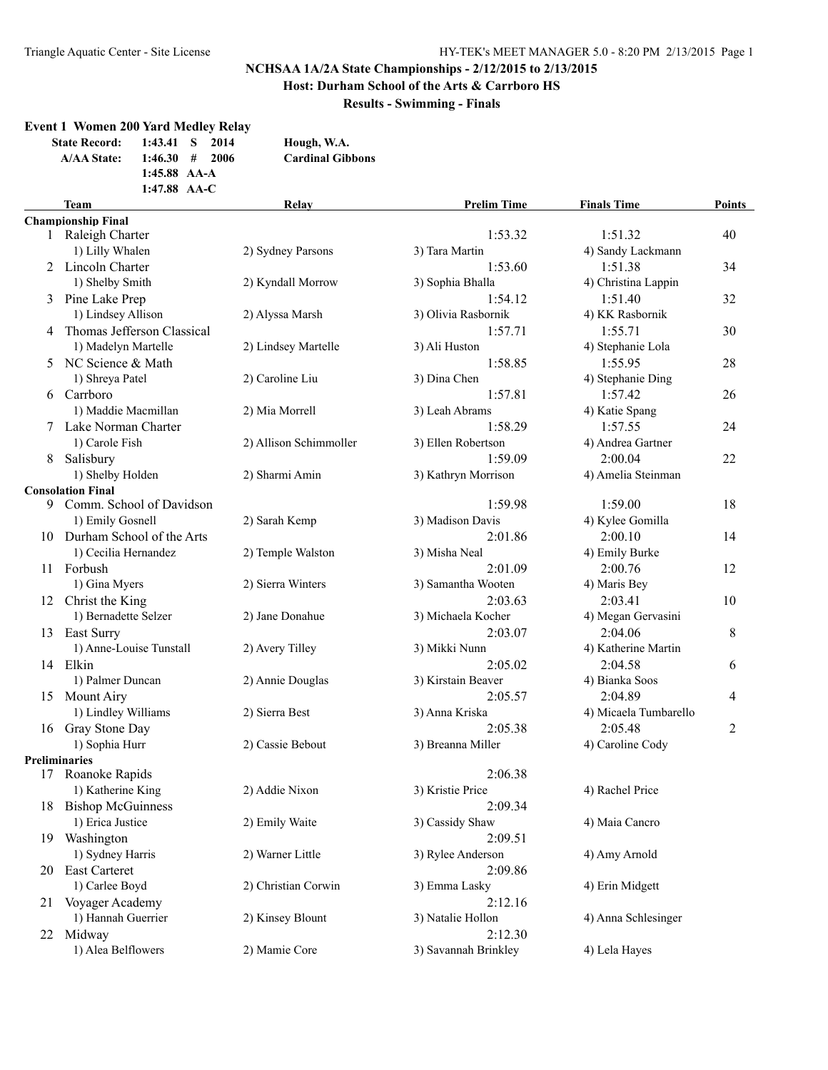**Host: Durham School of the Arts & Carrboro HS**

**Results - Swimming - Finals**

# **Event 1 Women 200 Yard Medley Relay**

| State Record: 1:43.41 S |                | 2014  | Hough, W.A.             |
|-------------------------|----------------|-------|-------------------------|
| <b>A/AA State:</b>      | 1:46.30#       | -2006 | <b>Cardinal Gibbons</b> |
|                         | $1:45.88$ AA-A |       |                         |
|                         | $1:47.88$ AA-C |       |                         |

|    | <b>Team</b>                  | <b>Relay</b>           | <b>Prelim Time</b>   | <b>Finals Time</b>    | <b>Points</b>  |
|----|------------------------------|------------------------|----------------------|-----------------------|----------------|
|    | <b>Championship Final</b>    |                        |                      |                       |                |
|    | 1 Raleigh Charter            |                        | 1:53.32              | 1:51.32               | 40             |
|    | 1) Lilly Whalen              | 2) Sydney Parsons      | 3) Tara Martin       | 4) Sandy Lackmann     |                |
|    | 2 Lincoln Charter            |                        | 1:53.60              | 1:51.38               | 34             |
|    | 1) Shelby Smith              | 2) Kyndall Morrow      | 3) Sophia Bhalla     | 4) Christina Lappin   |                |
|    | 3 Pine Lake Prep             |                        | 1:54.12              | 1:51.40               | 32             |
|    | 1) Lindsey Allison           | 2) Alyssa Marsh        | 3) Olivia Rasbornik  | 4) KK Rasbornik       |                |
|    | 4 Thomas Jefferson Classical |                        | 1:57.71              | 1:55.71               | 30             |
|    | 1) Madelyn Martelle          | 2) Lindsey Martelle    | 3) Ali Huston        | 4) Stephanie Lola     |                |
|    | 5 NC Science & Math          |                        | 1:58.85              | 1:55.95               | 28             |
|    | 1) Shreya Patel              | 2) Caroline Liu        | 3) Dina Chen         | 4) Stephanie Ding     |                |
| 6  | Carrboro                     |                        | 1:57.81              | 1:57.42               | 26             |
|    | 1) Maddie Macmillan          | 2) Mia Morrell         | 3) Leah Abrams       | 4) Katie Spang        |                |
|    | Lake Norman Charter          |                        | 1:58.29              | 1:57.55               | 24             |
|    | 1) Carole Fish               | 2) Allison Schimmoller | 3) Ellen Robertson   | 4) Andrea Gartner     |                |
| 8  | Salisbury                    |                        | 1:59.09              | 2:00.04               | 22             |
|    | 1) Shelby Holden             | 2) Sharmi Amin         | 3) Kathryn Morrison  | 4) Amelia Steinman    |                |
|    | <b>Consolation Final</b>     |                        |                      |                       |                |
| 9  | Comm. School of Davidson     |                        | 1:59.98              | 1:59.00               | 18             |
|    | 1) Emily Gosnell             | 2) Sarah Kemp          | 3) Madison Davis     | 4) Kylee Gomilla      |                |
|    | 10 Durham School of the Arts |                        | 2:01.86              | 2:00.10               | 14             |
|    | 1) Cecilia Hernandez         | 2) Temple Walston      | 3) Misha Neal        | 4) Emily Burke        |                |
|    | 11 Forbush                   |                        | 2:01.09              | 2:00.76               | 12             |
|    | 1) Gina Myers                | 2) Sierra Winters      | 3) Samantha Wooten   | 4) Maris Bey          |                |
|    | 12 Christ the King           |                        | 2:03.63              | 2:03.41               | 10             |
|    | 1) Bernadette Selzer         | 2) Jane Donahue        | 3) Michaela Kocher   | 4) Megan Gervasini    |                |
| 13 | East Surry                   |                        | 2:03.07              | 2:04.06               | $\,8$          |
|    | 1) Anne-Louise Tunstall      | 2) Avery Tilley        | 3) Mikki Nunn        | 4) Katherine Martin   |                |
|    | 14 Elkin                     |                        | 2:05.02              | 2:04.58               | 6              |
|    | 1) Palmer Duncan             | 2) Annie Douglas       | 3) Kirstain Beaver   | 4) Bianka Soos        |                |
|    | 15 Mount Airy                |                        | 2:05.57              | 2:04.89               | 4              |
|    | 1) Lindley Williams          | 2) Sierra Best         | 3) Anna Kriska       | 4) Micaela Tumbarello |                |
|    | 16 Gray Stone Day            |                        | 2:05.38              | 2:05.48               | $\overline{2}$ |
|    | 1) Sophia Hurr               | 2) Cassie Bebout       | 3) Breanna Miller    | 4) Caroline Cody      |                |
|    | <b>Preliminaries</b>         |                        |                      |                       |                |
|    | 17 Roanoke Rapids            |                        | 2:06.38              |                       |                |
|    | 1) Katherine King            | 2) Addie Nixon         | 3) Kristie Price     | 4) Rachel Price       |                |
|    | 18 Bishop McGuinness         |                        | 2:09.34              |                       |                |
|    | 1) Erica Justice             | 2) Emily Waite         | 3) Cassidy Shaw      | 4) Maia Cancro        |                |
| 19 | Washington                   |                        | 2:09.51              |                       |                |
|    | 1) Sydney Harris             | 2) Warner Little       | 3) Rylee Anderson    | 4) Amy Arnold         |                |
| 20 | <b>East Carteret</b>         |                        | 2:09.86              |                       |                |
|    | 1) Carlee Boyd               | 2) Christian Corwin    | 3) Emma Lasky        | 4) Erin Midgett       |                |
| 21 | Voyager Academy              |                        | 2:12.16              |                       |                |
|    | 1) Hannah Guerrier           | 2) Kinsey Blount       | 3) Natalie Hollon    | 4) Anna Schlesinger   |                |
|    | 22 Midway                    |                        | 2:12.30              |                       |                |
|    | 1) Alea Belflowers           | 2) Mamie Core          | 3) Savannah Brinkley | 4) Lela Hayes         |                |
|    |                              |                        |                      |                       |                |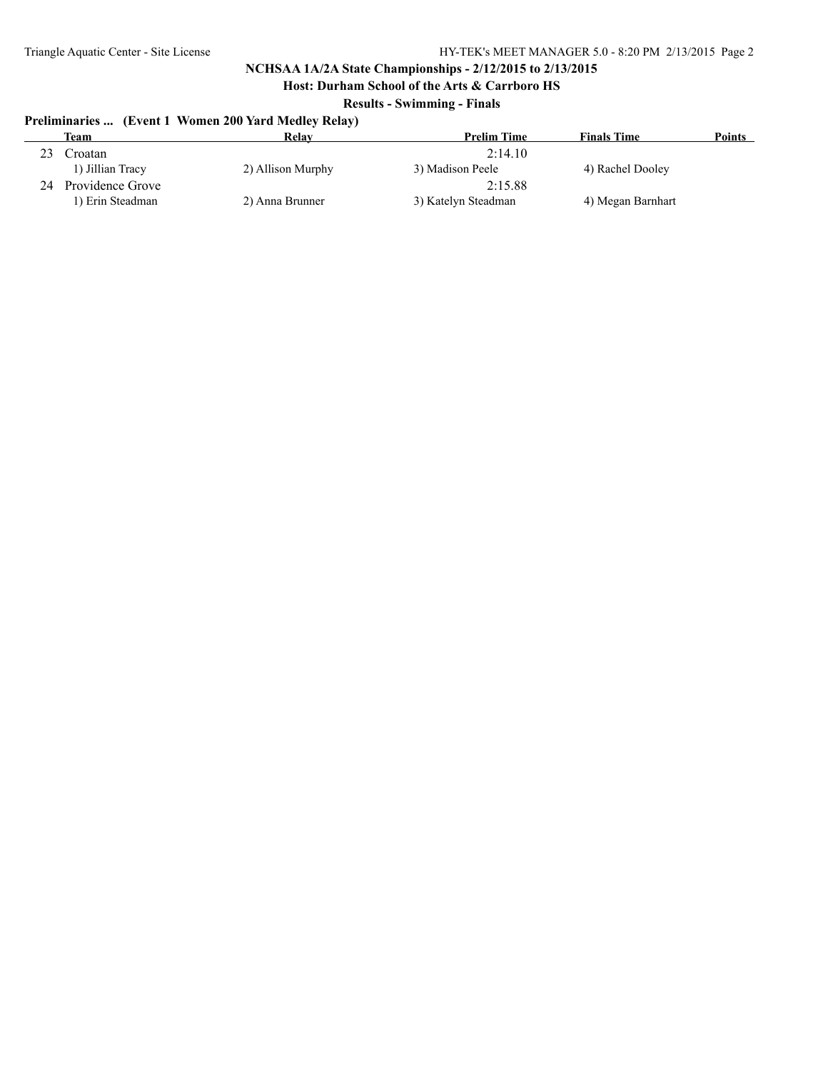#### Triangle Aquatic Center - Site License HY-TEK's MEET MANAGER 5.0 - 8:20 PM 2/13/2015 Page 2

# **NCHSAA 1A/2A State Championships - 2/12/2015 to 2/13/2015**

**Host: Durham School of the Arts & Carrboro HS**

**Results - Swimming - Finals**

| Preliminaries  (Event 1 Women 200 Yard Medley Relay) |  |  |  |
|------------------------------------------------------|--|--|--|
|                                                      |  |  |  |

|    | <b>Team</b>      | Relay             | <b>Prelim Time</b>  | <b>Finals Time</b> | Points |
|----|------------------|-------------------|---------------------|--------------------|--------|
|    | roatan           |                   | 2.1410              |                    |        |
|    | 1) Jillian Tracy | 2) Allison Murphy | 3) Madison Peele    | 4) Rachel Dooley   |        |
| 24 | Providence Grove |                   | 2:15.88             |                    |        |
|    | l) Erin Steadman | 2) Anna Brunner   | 3) Katelyn Steadman | 4) Megan Barnhart  |        |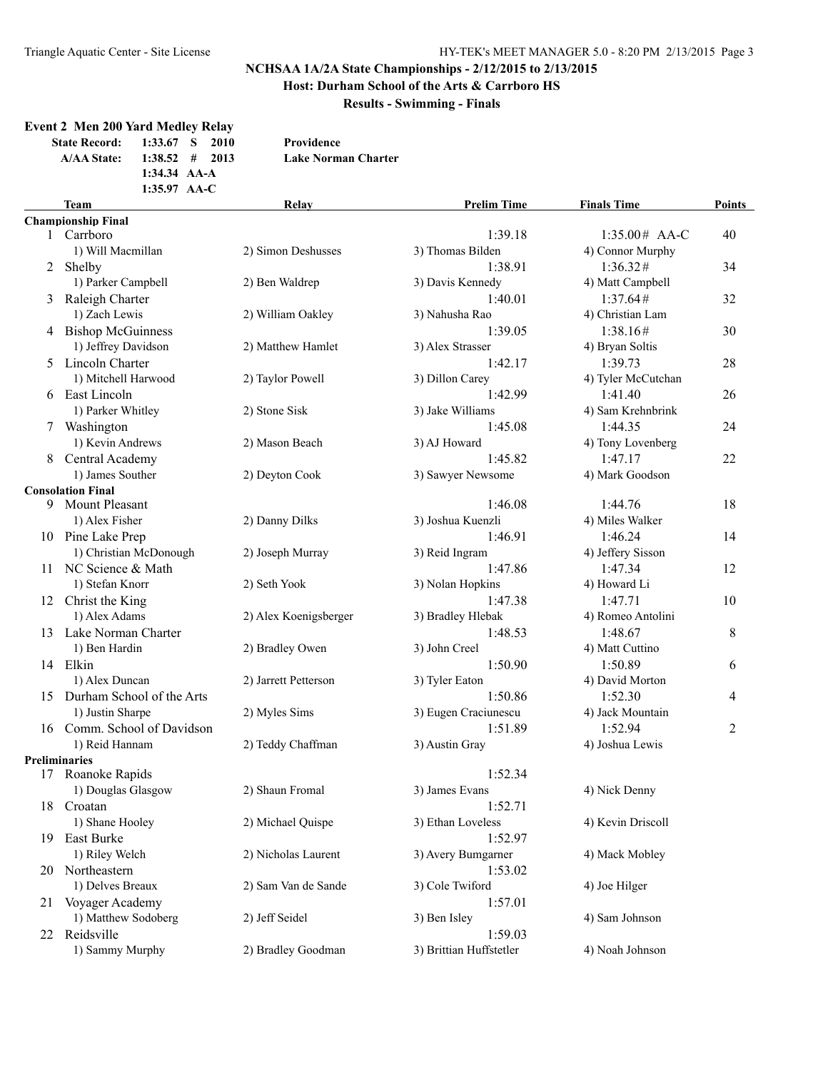**Host: Durham School of the Arts & Carrboro HS**

**Results - Swimming - Finals**

# **Event 2 Men 200 Yard Medley Relay**

|                    | State Record: 1:33.67 S 2010 | Providence          |
|--------------------|------------------------------|---------------------|
| <b>A/AA State:</b> | $1:38.52 \quad # \quad 2013$ | Lake Norman Charter |
|                    | 1:34.34 $AA-A$               |                     |
|                    | $1:35.97$ AA-C               |                     |

| <b>Championship Final</b><br>Carrboro<br>1:39.18<br>$1:35.00#$ AA-C<br>40<br>$\mathbf{1}$<br>1) Will Macmillan<br>2) Simon Deshusses<br>3) Thomas Bilden<br>4) Connor Murphy<br>Shelby<br>1:38.91<br>1:36.32#<br>$\overline{2}$<br>34<br>1) Parker Campbell<br>3) Davis Kennedy<br>4) Matt Campbell<br>2) Ben Waldrep<br>1:40.01<br>Raleigh Charter<br>1:37.64#<br>32<br>3<br>1) Zach Lewis<br>2) William Oakley<br>4) Christian Lam<br>3) Nahusha Rao<br>4 Bishop McGuinness<br>1:39.05<br>1:38.16#<br>30<br>1) Jeffrey Davidson<br>2) Matthew Hamlet<br>3) Alex Strasser<br>4) Bryan Soltis<br>1:42.17<br>Lincoln Charter<br>1:39.73<br>28<br>5<br>1) Mitchell Harwood<br>2) Taylor Powell<br>4) Tyler McCutchan<br>3) Dillon Carey<br>East Lincoln<br>1:42.99<br>1:41.40<br>26<br>6<br>1) Parker Whitley<br>2) Stone Sisk<br>3) Jake Williams<br>4) Sam Krehnbrink<br>Washington<br>1:45.08<br>1:44.35<br>24<br>7<br>1) Kevin Andrews<br>2) Mason Beach<br>3) AJ Howard<br>4) Tony Lovenberg<br>8 Central Academy<br>1:45.82<br>1:47.17<br>22<br>1) James Souther<br>4) Mark Goodson<br>2) Deyton Cook<br>3) Sawyer Newsome<br><b>Consolation Final</b><br>9 Mount Pleasant<br>1:46.08<br>1:44.76<br>18<br>1) Alex Fisher<br>2) Danny Dilks<br>3) Joshua Kuenzli<br>4) Miles Walker<br>10 Pine Lake Prep<br>1:46.91<br>1:46.24<br>14<br>1) Christian McDonough<br>4) Jeffery Sisson<br>2) Joseph Murray<br>3) Reid Ingram<br>1:47.86<br>11 NC Science & Math<br>1:47.34<br>12<br>1) Stefan Knorr<br>3) Nolan Hopkins<br>2) Seth Yook<br>4) Howard Li<br>12 Christ the King<br>1:47.38<br>1:47.71<br>10<br>1) Alex Adams<br>2) Alex Koenigsberger<br>3) Bradley Hlebak<br>4) Romeo Antolini<br>Lake Norman Charter<br>1:48.53<br>1:48.67<br>8<br>13<br>1) Ben Hardin<br>2) Bradley Owen<br>3) John Creel<br>4) Matt Cuttino<br>14 Elkin<br>1:50.90<br>1:50.89<br>6<br>1) Alex Duncan<br>4) David Morton<br>2) Jarrett Petterson<br>3) Tyler Eaton<br>Durham School of the Arts<br>1:50.86<br>1:52.30<br>15<br>4<br>1) Justin Sharpe<br>2) Myles Sims<br>3) Eugen Craciunescu<br>4) Jack Mountain<br>Comm. School of Davidson<br>1:51.89<br>$\overline{2}$<br>1:52.94<br>16<br>1) Reid Hannam<br>2) Teddy Chaffman<br>3) Austin Gray<br>4) Joshua Lewis<br><b>Preliminaries</b><br>17 Roanoke Rapids<br>1:52.34<br>2) Shaun Fromal<br>1) Douglas Glasgow<br>3) James Evans<br>4) Nick Denny<br>1:52.71<br>18 Croatan<br>2) Michael Quispe<br>4) Kevin Driscoll<br>1) Shane Hooley<br>3) Ethan Loveless<br>East Burke<br>1:52.97<br>19<br>1) Riley Welch<br>2) Nicholas Laurent<br>3) Avery Bumgarner<br>4) Mack Mobley<br>1:53.02<br>Northeastern<br>20<br>1) Delves Breaux<br>2) Sam Van de Sande<br>3) Cole Twiford<br>4) Joe Hilger<br>Voyager Academy<br>1:57.01<br>21<br>1) Matthew Sodoberg<br>2) Jeff Seidel<br>4) Sam Johnson<br>3) Ben Isley<br>22 Reidsville<br>1:59.03<br>1) Sammy Murphy<br>2) Bradley Goodman<br>3) Brittian Huffstetler<br>4) Noah Johnson | <b>Team</b> | <b>Relay</b> | <b>Prelim Time</b> | <b>Finals Time</b> | <b>Points</b> |
|---------------------------------------------------------------------------------------------------------------------------------------------------------------------------------------------------------------------------------------------------------------------------------------------------------------------------------------------------------------------------------------------------------------------------------------------------------------------------------------------------------------------------------------------------------------------------------------------------------------------------------------------------------------------------------------------------------------------------------------------------------------------------------------------------------------------------------------------------------------------------------------------------------------------------------------------------------------------------------------------------------------------------------------------------------------------------------------------------------------------------------------------------------------------------------------------------------------------------------------------------------------------------------------------------------------------------------------------------------------------------------------------------------------------------------------------------------------------------------------------------------------------------------------------------------------------------------------------------------------------------------------------------------------------------------------------------------------------------------------------------------------------------------------------------------------------------------------------------------------------------------------------------------------------------------------------------------------------------------------------------------------------------------------------------------------------------------------------------------------------------------------------------------------------------------------------------------------------------------------------------------------------------------------------------------------------------------------------------------------------------------------------------------------------------------------------------------------------------------------------------------------------------------------------------------------------------------------------------------------------------------------------------------------------------------------------------------------------------------------------------------------------------------------------------------------------------------------------------------------------------------------------------------------------------------------------------------------------------|-------------|--------------|--------------------|--------------------|---------------|
|                                                                                                                                                                                                                                                                                                                                                                                                                                                                                                                                                                                                                                                                                                                                                                                                                                                                                                                                                                                                                                                                                                                                                                                                                                                                                                                                                                                                                                                                                                                                                                                                                                                                                                                                                                                                                                                                                                                                                                                                                                                                                                                                                                                                                                                                                                                                                                                                                                                                                                                                                                                                                                                                                                                                                                                                                                                                                                                                                                           |             |              |                    |                    |               |
|                                                                                                                                                                                                                                                                                                                                                                                                                                                                                                                                                                                                                                                                                                                                                                                                                                                                                                                                                                                                                                                                                                                                                                                                                                                                                                                                                                                                                                                                                                                                                                                                                                                                                                                                                                                                                                                                                                                                                                                                                                                                                                                                                                                                                                                                                                                                                                                                                                                                                                                                                                                                                                                                                                                                                                                                                                                                                                                                                                           |             |              |                    |                    |               |
|                                                                                                                                                                                                                                                                                                                                                                                                                                                                                                                                                                                                                                                                                                                                                                                                                                                                                                                                                                                                                                                                                                                                                                                                                                                                                                                                                                                                                                                                                                                                                                                                                                                                                                                                                                                                                                                                                                                                                                                                                                                                                                                                                                                                                                                                                                                                                                                                                                                                                                                                                                                                                                                                                                                                                                                                                                                                                                                                                                           |             |              |                    |                    |               |
|                                                                                                                                                                                                                                                                                                                                                                                                                                                                                                                                                                                                                                                                                                                                                                                                                                                                                                                                                                                                                                                                                                                                                                                                                                                                                                                                                                                                                                                                                                                                                                                                                                                                                                                                                                                                                                                                                                                                                                                                                                                                                                                                                                                                                                                                                                                                                                                                                                                                                                                                                                                                                                                                                                                                                                                                                                                                                                                                                                           |             |              |                    |                    |               |
|                                                                                                                                                                                                                                                                                                                                                                                                                                                                                                                                                                                                                                                                                                                                                                                                                                                                                                                                                                                                                                                                                                                                                                                                                                                                                                                                                                                                                                                                                                                                                                                                                                                                                                                                                                                                                                                                                                                                                                                                                                                                                                                                                                                                                                                                                                                                                                                                                                                                                                                                                                                                                                                                                                                                                                                                                                                                                                                                                                           |             |              |                    |                    |               |
|                                                                                                                                                                                                                                                                                                                                                                                                                                                                                                                                                                                                                                                                                                                                                                                                                                                                                                                                                                                                                                                                                                                                                                                                                                                                                                                                                                                                                                                                                                                                                                                                                                                                                                                                                                                                                                                                                                                                                                                                                                                                                                                                                                                                                                                                                                                                                                                                                                                                                                                                                                                                                                                                                                                                                                                                                                                                                                                                                                           |             |              |                    |                    |               |
|                                                                                                                                                                                                                                                                                                                                                                                                                                                                                                                                                                                                                                                                                                                                                                                                                                                                                                                                                                                                                                                                                                                                                                                                                                                                                                                                                                                                                                                                                                                                                                                                                                                                                                                                                                                                                                                                                                                                                                                                                                                                                                                                                                                                                                                                                                                                                                                                                                                                                                                                                                                                                                                                                                                                                                                                                                                                                                                                                                           |             |              |                    |                    |               |
|                                                                                                                                                                                                                                                                                                                                                                                                                                                                                                                                                                                                                                                                                                                                                                                                                                                                                                                                                                                                                                                                                                                                                                                                                                                                                                                                                                                                                                                                                                                                                                                                                                                                                                                                                                                                                                                                                                                                                                                                                                                                                                                                                                                                                                                                                                                                                                                                                                                                                                                                                                                                                                                                                                                                                                                                                                                                                                                                                                           |             |              |                    |                    |               |
|                                                                                                                                                                                                                                                                                                                                                                                                                                                                                                                                                                                                                                                                                                                                                                                                                                                                                                                                                                                                                                                                                                                                                                                                                                                                                                                                                                                                                                                                                                                                                                                                                                                                                                                                                                                                                                                                                                                                                                                                                                                                                                                                                                                                                                                                                                                                                                                                                                                                                                                                                                                                                                                                                                                                                                                                                                                                                                                                                                           |             |              |                    |                    |               |
|                                                                                                                                                                                                                                                                                                                                                                                                                                                                                                                                                                                                                                                                                                                                                                                                                                                                                                                                                                                                                                                                                                                                                                                                                                                                                                                                                                                                                                                                                                                                                                                                                                                                                                                                                                                                                                                                                                                                                                                                                                                                                                                                                                                                                                                                                                                                                                                                                                                                                                                                                                                                                                                                                                                                                                                                                                                                                                                                                                           |             |              |                    |                    |               |
|                                                                                                                                                                                                                                                                                                                                                                                                                                                                                                                                                                                                                                                                                                                                                                                                                                                                                                                                                                                                                                                                                                                                                                                                                                                                                                                                                                                                                                                                                                                                                                                                                                                                                                                                                                                                                                                                                                                                                                                                                                                                                                                                                                                                                                                                                                                                                                                                                                                                                                                                                                                                                                                                                                                                                                                                                                                                                                                                                                           |             |              |                    |                    |               |
|                                                                                                                                                                                                                                                                                                                                                                                                                                                                                                                                                                                                                                                                                                                                                                                                                                                                                                                                                                                                                                                                                                                                                                                                                                                                                                                                                                                                                                                                                                                                                                                                                                                                                                                                                                                                                                                                                                                                                                                                                                                                                                                                                                                                                                                                                                                                                                                                                                                                                                                                                                                                                                                                                                                                                                                                                                                                                                                                                                           |             |              |                    |                    |               |
|                                                                                                                                                                                                                                                                                                                                                                                                                                                                                                                                                                                                                                                                                                                                                                                                                                                                                                                                                                                                                                                                                                                                                                                                                                                                                                                                                                                                                                                                                                                                                                                                                                                                                                                                                                                                                                                                                                                                                                                                                                                                                                                                                                                                                                                                                                                                                                                                                                                                                                                                                                                                                                                                                                                                                                                                                                                                                                                                                                           |             |              |                    |                    |               |
|                                                                                                                                                                                                                                                                                                                                                                                                                                                                                                                                                                                                                                                                                                                                                                                                                                                                                                                                                                                                                                                                                                                                                                                                                                                                                                                                                                                                                                                                                                                                                                                                                                                                                                                                                                                                                                                                                                                                                                                                                                                                                                                                                                                                                                                                                                                                                                                                                                                                                                                                                                                                                                                                                                                                                                                                                                                                                                                                                                           |             |              |                    |                    |               |
|                                                                                                                                                                                                                                                                                                                                                                                                                                                                                                                                                                                                                                                                                                                                                                                                                                                                                                                                                                                                                                                                                                                                                                                                                                                                                                                                                                                                                                                                                                                                                                                                                                                                                                                                                                                                                                                                                                                                                                                                                                                                                                                                                                                                                                                                                                                                                                                                                                                                                                                                                                                                                                                                                                                                                                                                                                                                                                                                                                           |             |              |                    |                    |               |
|                                                                                                                                                                                                                                                                                                                                                                                                                                                                                                                                                                                                                                                                                                                                                                                                                                                                                                                                                                                                                                                                                                                                                                                                                                                                                                                                                                                                                                                                                                                                                                                                                                                                                                                                                                                                                                                                                                                                                                                                                                                                                                                                                                                                                                                                                                                                                                                                                                                                                                                                                                                                                                                                                                                                                                                                                                                                                                                                                                           |             |              |                    |                    |               |
|                                                                                                                                                                                                                                                                                                                                                                                                                                                                                                                                                                                                                                                                                                                                                                                                                                                                                                                                                                                                                                                                                                                                                                                                                                                                                                                                                                                                                                                                                                                                                                                                                                                                                                                                                                                                                                                                                                                                                                                                                                                                                                                                                                                                                                                                                                                                                                                                                                                                                                                                                                                                                                                                                                                                                                                                                                                                                                                                                                           |             |              |                    |                    |               |
|                                                                                                                                                                                                                                                                                                                                                                                                                                                                                                                                                                                                                                                                                                                                                                                                                                                                                                                                                                                                                                                                                                                                                                                                                                                                                                                                                                                                                                                                                                                                                                                                                                                                                                                                                                                                                                                                                                                                                                                                                                                                                                                                                                                                                                                                                                                                                                                                                                                                                                                                                                                                                                                                                                                                                                                                                                                                                                                                                                           |             |              |                    |                    |               |
|                                                                                                                                                                                                                                                                                                                                                                                                                                                                                                                                                                                                                                                                                                                                                                                                                                                                                                                                                                                                                                                                                                                                                                                                                                                                                                                                                                                                                                                                                                                                                                                                                                                                                                                                                                                                                                                                                                                                                                                                                                                                                                                                                                                                                                                                                                                                                                                                                                                                                                                                                                                                                                                                                                                                                                                                                                                                                                                                                                           |             |              |                    |                    |               |
|                                                                                                                                                                                                                                                                                                                                                                                                                                                                                                                                                                                                                                                                                                                                                                                                                                                                                                                                                                                                                                                                                                                                                                                                                                                                                                                                                                                                                                                                                                                                                                                                                                                                                                                                                                                                                                                                                                                                                                                                                                                                                                                                                                                                                                                                                                                                                                                                                                                                                                                                                                                                                                                                                                                                                                                                                                                                                                                                                                           |             |              |                    |                    |               |
|                                                                                                                                                                                                                                                                                                                                                                                                                                                                                                                                                                                                                                                                                                                                                                                                                                                                                                                                                                                                                                                                                                                                                                                                                                                                                                                                                                                                                                                                                                                                                                                                                                                                                                                                                                                                                                                                                                                                                                                                                                                                                                                                                                                                                                                                                                                                                                                                                                                                                                                                                                                                                                                                                                                                                                                                                                                                                                                                                                           |             |              |                    |                    |               |
|                                                                                                                                                                                                                                                                                                                                                                                                                                                                                                                                                                                                                                                                                                                                                                                                                                                                                                                                                                                                                                                                                                                                                                                                                                                                                                                                                                                                                                                                                                                                                                                                                                                                                                                                                                                                                                                                                                                                                                                                                                                                                                                                                                                                                                                                                                                                                                                                                                                                                                                                                                                                                                                                                                                                                                                                                                                                                                                                                                           |             |              |                    |                    |               |
|                                                                                                                                                                                                                                                                                                                                                                                                                                                                                                                                                                                                                                                                                                                                                                                                                                                                                                                                                                                                                                                                                                                                                                                                                                                                                                                                                                                                                                                                                                                                                                                                                                                                                                                                                                                                                                                                                                                                                                                                                                                                                                                                                                                                                                                                                                                                                                                                                                                                                                                                                                                                                                                                                                                                                                                                                                                                                                                                                                           |             |              |                    |                    |               |
|                                                                                                                                                                                                                                                                                                                                                                                                                                                                                                                                                                                                                                                                                                                                                                                                                                                                                                                                                                                                                                                                                                                                                                                                                                                                                                                                                                                                                                                                                                                                                                                                                                                                                                                                                                                                                                                                                                                                                                                                                                                                                                                                                                                                                                                                                                                                                                                                                                                                                                                                                                                                                                                                                                                                                                                                                                                                                                                                                                           |             |              |                    |                    |               |
|                                                                                                                                                                                                                                                                                                                                                                                                                                                                                                                                                                                                                                                                                                                                                                                                                                                                                                                                                                                                                                                                                                                                                                                                                                                                                                                                                                                                                                                                                                                                                                                                                                                                                                                                                                                                                                                                                                                                                                                                                                                                                                                                                                                                                                                                                                                                                                                                                                                                                                                                                                                                                                                                                                                                                                                                                                                                                                                                                                           |             |              |                    |                    |               |
|                                                                                                                                                                                                                                                                                                                                                                                                                                                                                                                                                                                                                                                                                                                                                                                                                                                                                                                                                                                                                                                                                                                                                                                                                                                                                                                                                                                                                                                                                                                                                                                                                                                                                                                                                                                                                                                                                                                                                                                                                                                                                                                                                                                                                                                                                                                                                                                                                                                                                                                                                                                                                                                                                                                                                                                                                                                                                                                                                                           |             |              |                    |                    |               |
|                                                                                                                                                                                                                                                                                                                                                                                                                                                                                                                                                                                                                                                                                                                                                                                                                                                                                                                                                                                                                                                                                                                                                                                                                                                                                                                                                                                                                                                                                                                                                                                                                                                                                                                                                                                                                                                                                                                                                                                                                                                                                                                                                                                                                                                                                                                                                                                                                                                                                                                                                                                                                                                                                                                                                                                                                                                                                                                                                                           |             |              |                    |                    |               |
|                                                                                                                                                                                                                                                                                                                                                                                                                                                                                                                                                                                                                                                                                                                                                                                                                                                                                                                                                                                                                                                                                                                                                                                                                                                                                                                                                                                                                                                                                                                                                                                                                                                                                                                                                                                                                                                                                                                                                                                                                                                                                                                                                                                                                                                                                                                                                                                                                                                                                                                                                                                                                                                                                                                                                                                                                                                                                                                                                                           |             |              |                    |                    |               |
|                                                                                                                                                                                                                                                                                                                                                                                                                                                                                                                                                                                                                                                                                                                                                                                                                                                                                                                                                                                                                                                                                                                                                                                                                                                                                                                                                                                                                                                                                                                                                                                                                                                                                                                                                                                                                                                                                                                                                                                                                                                                                                                                                                                                                                                                                                                                                                                                                                                                                                                                                                                                                                                                                                                                                                                                                                                                                                                                                                           |             |              |                    |                    |               |
|                                                                                                                                                                                                                                                                                                                                                                                                                                                                                                                                                                                                                                                                                                                                                                                                                                                                                                                                                                                                                                                                                                                                                                                                                                                                                                                                                                                                                                                                                                                                                                                                                                                                                                                                                                                                                                                                                                                                                                                                                                                                                                                                                                                                                                                                                                                                                                                                                                                                                                                                                                                                                                                                                                                                                                                                                                                                                                                                                                           |             |              |                    |                    |               |
|                                                                                                                                                                                                                                                                                                                                                                                                                                                                                                                                                                                                                                                                                                                                                                                                                                                                                                                                                                                                                                                                                                                                                                                                                                                                                                                                                                                                                                                                                                                                                                                                                                                                                                                                                                                                                                                                                                                                                                                                                                                                                                                                                                                                                                                                                                                                                                                                                                                                                                                                                                                                                                                                                                                                                                                                                                                                                                                                                                           |             |              |                    |                    |               |
|                                                                                                                                                                                                                                                                                                                                                                                                                                                                                                                                                                                                                                                                                                                                                                                                                                                                                                                                                                                                                                                                                                                                                                                                                                                                                                                                                                                                                                                                                                                                                                                                                                                                                                                                                                                                                                                                                                                                                                                                                                                                                                                                                                                                                                                                                                                                                                                                                                                                                                                                                                                                                                                                                                                                                                                                                                                                                                                                                                           |             |              |                    |                    |               |
|                                                                                                                                                                                                                                                                                                                                                                                                                                                                                                                                                                                                                                                                                                                                                                                                                                                                                                                                                                                                                                                                                                                                                                                                                                                                                                                                                                                                                                                                                                                                                                                                                                                                                                                                                                                                                                                                                                                                                                                                                                                                                                                                                                                                                                                                                                                                                                                                                                                                                                                                                                                                                                                                                                                                                                                                                                                                                                                                                                           |             |              |                    |                    |               |
|                                                                                                                                                                                                                                                                                                                                                                                                                                                                                                                                                                                                                                                                                                                                                                                                                                                                                                                                                                                                                                                                                                                                                                                                                                                                                                                                                                                                                                                                                                                                                                                                                                                                                                                                                                                                                                                                                                                                                                                                                                                                                                                                                                                                                                                                                                                                                                                                                                                                                                                                                                                                                                                                                                                                                                                                                                                                                                                                                                           |             |              |                    |                    |               |
|                                                                                                                                                                                                                                                                                                                                                                                                                                                                                                                                                                                                                                                                                                                                                                                                                                                                                                                                                                                                                                                                                                                                                                                                                                                                                                                                                                                                                                                                                                                                                                                                                                                                                                                                                                                                                                                                                                                                                                                                                                                                                                                                                                                                                                                                                                                                                                                                                                                                                                                                                                                                                                                                                                                                                                                                                                                                                                                                                                           |             |              |                    |                    |               |
|                                                                                                                                                                                                                                                                                                                                                                                                                                                                                                                                                                                                                                                                                                                                                                                                                                                                                                                                                                                                                                                                                                                                                                                                                                                                                                                                                                                                                                                                                                                                                                                                                                                                                                                                                                                                                                                                                                                                                                                                                                                                                                                                                                                                                                                                                                                                                                                                                                                                                                                                                                                                                                                                                                                                                                                                                                                                                                                                                                           |             |              |                    |                    |               |
|                                                                                                                                                                                                                                                                                                                                                                                                                                                                                                                                                                                                                                                                                                                                                                                                                                                                                                                                                                                                                                                                                                                                                                                                                                                                                                                                                                                                                                                                                                                                                                                                                                                                                                                                                                                                                                                                                                                                                                                                                                                                                                                                                                                                                                                                                                                                                                                                                                                                                                                                                                                                                                                                                                                                                                                                                                                                                                                                                                           |             |              |                    |                    |               |
|                                                                                                                                                                                                                                                                                                                                                                                                                                                                                                                                                                                                                                                                                                                                                                                                                                                                                                                                                                                                                                                                                                                                                                                                                                                                                                                                                                                                                                                                                                                                                                                                                                                                                                                                                                                                                                                                                                                                                                                                                                                                                                                                                                                                                                                                                                                                                                                                                                                                                                                                                                                                                                                                                                                                                                                                                                                                                                                                                                           |             |              |                    |                    |               |
|                                                                                                                                                                                                                                                                                                                                                                                                                                                                                                                                                                                                                                                                                                                                                                                                                                                                                                                                                                                                                                                                                                                                                                                                                                                                                                                                                                                                                                                                                                                                                                                                                                                                                                                                                                                                                                                                                                                                                                                                                                                                                                                                                                                                                                                                                                                                                                                                                                                                                                                                                                                                                                                                                                                                                                                                                                                                                                                                                                           |             |              |                    |                    |               |
|                                                                                                                                                                                                                                                                                                                                                                                                                                                                                                                                                                                                                                                                                                                                                                                                                                                                                                                                                                                                                                                                                                                                                                                                                                                                                                                                                                                                                                                                                                                                                                                                                                                                                                                                                                                                                                                                                                                                                                                                                                                                                                                                                                                                                                                                                                                                                                                                                                                                                                                                                                                                                                                                                                                                                                                                                                                                                                                                                                           |             |              |                    |                    |               |
|                                                                                                                                                                                                                                                                                                                                                                                                                                                                                                                                                                                                                                                                                                                                                                                                                                                                                                                                                                                                                                                                                                                                                                                                                                                                                                                                                                                                                                                                                                                                                                                                                                                                                                                                                                                                                                                                                                                                                                                                                                                                                                                                                                                                                                                                                                                                                                                                                                                                                                                                                                                                                                                                                                                                                                                                                                                                                                                                                                           |             |              |                    |                    |               |
|                                                                                                                                                                                                                                                                                                                                                                                                                                                                                                                                                                                                                                                                                                                                                                                                                                                                                                                                                                                                                                                                                                                                                                                                                                                                                                                                                                                                                                                                                                                                                                                                                                                                                                                                                                                                                                                                                                                                                                                                                                                                                                                                                                                                                                                                                                                                                                                                                                                                                                                                                                                                                                                                                                                                                                                                                                                                                                                                                                           |             |              |                    |                    |               |
|                                                                                                                                                                                                                                                                                                                                                                                                                                                                                                                                                                                                                                                                                                                                                                                                                                                                                                                                                                                                                                                                                                                                                                                                                                                                                                                                                                                                                                                                                                                                                                                                                                                                                                                                                                                                                                                                                                                                                                                                                                                                                                                                                                                                                                                                                                                                                                                                                                                                                                                                                                                                                                                                                                                                                                                                                                                                                                                                                                           |             |              |                    |                    |               |
|                                                                                                                                                                                                                                                                                                                                                                                                                                                                                                                                                                                                                                                                                                                                                                                                                                                                                                                                                                                                                                                                                                                                                                                                                                                                                                                                                                                                                                                                                                                                                                                                                                                                                                                                                                                                                                                                                                                                                                                                                                                                                                                                                                                                                                                                                                                                                                                                                                                                                                                                                                                                                                                                                                                                                                                                                                                                                                                                                                           |             |              |                    |                    |               |
|                                                                                                                                                                                                                                                                                                                                                                                                                                                                                                                                                                                                                                                                                                                                                                                                                                                                                                                                                                                                                                                                                                                                                                                                                                                                                                                                                                                                                                                                                                                                                                                                                                                                                                                                                                                                                                                                                                                                                                                                                                                                                                                                                                                                                                                                                                                                                                                                                                                                                                                                                                                                                                                                                                                                                                                                                                                                                                                                                                           |             |              |                    |                    |               |
|                                                                                                                                                                                                                                                                                                                                                                                                                                                                                                                                                                                                                                                                                                                                                                                                                                                                                                                                                                                                                                                                                                                                                                                                                                                                                                                                                                                                                                                                                                                                                                                                                                                                                                                                                                                                                                                                                                                                                                                                                                                                                                                                                                                                                                                                                                                                                                                                                                                                                                                                                                                                                                                                                                                                                                                                                                                                                                                                                                           |             |              |                    |                    |               |
|                                                                                                                                                                                                                                                                                                                                                                                                                                                                                                                                                                                                                                                                                                                                                                                                                                                                                                                                                                                                                                                                                                                                                                                                                                                                                                                                                                                                                                                                                                                                                                                                                                                                                                                                                                                                                                                                                                                                                                                                                                                                                                                                                                                                                                                                                                                                                                                                                                                                                                                                                                                                                                                                                                                                                                                                                                                                                                                                                                           |             |              |                    |                    |               |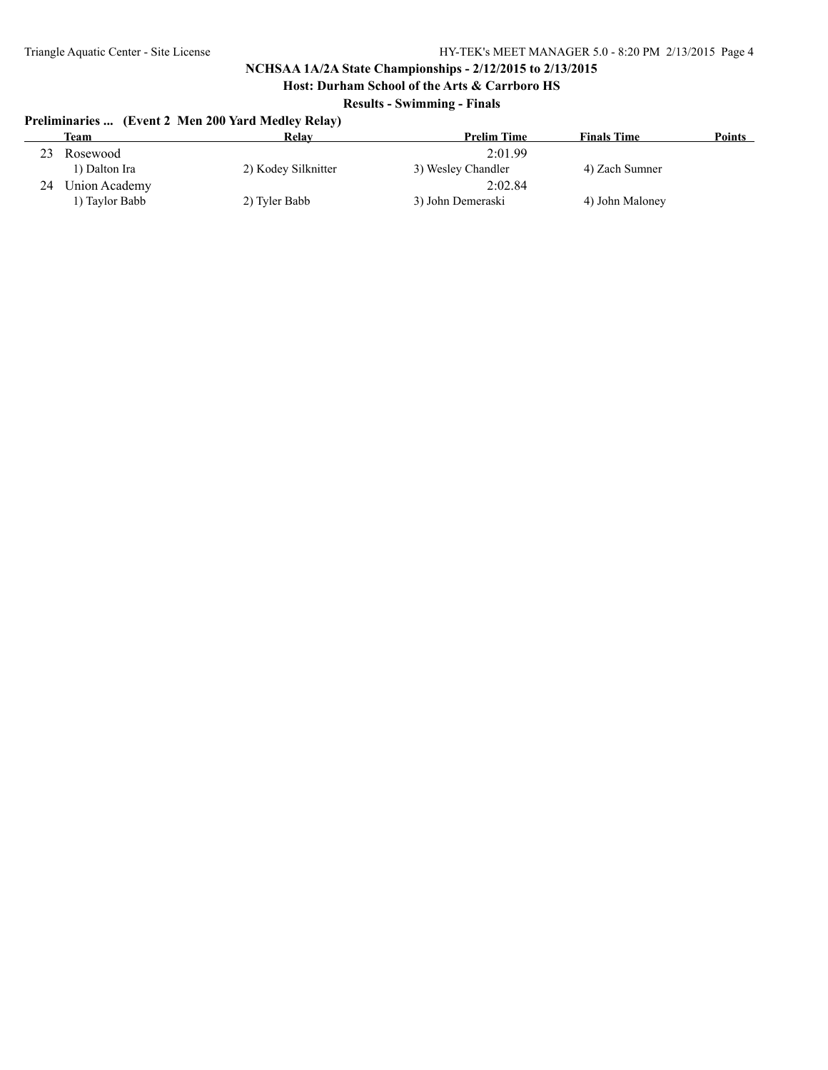**Host: Durham School of the Arts & Carrboro HS**

**Results - Swimming - Finals**

| Preliminaries  (Event 2 Men 200 Yard Medley Relay) |  |  |  |
|----------------------------------------------------|--|--|--|
|                                                    |  |  |  |

|    | <b>Team</b>    | Relay               | <b>Prelim Time</b> | <b>Finals Time</b> | <b>Points</b> |
|----|----------------|---------------------|--------------------|--------------------|---------------|
| 23 | Rosewood       |                     | 2.0199             |                    |               |
|    | 1) Dalton Ira  | 2) Kodey Silknitter | 3) Wesley Chandler | 4) Zach Sumner     |               |
| 24 | Union Academy  |                     | 2:02.84            |                    |               |
|    | 1) Taylor Babb | 2) Tyler Babb       | 3) John Demeraski  | 4) John Maloney    |               |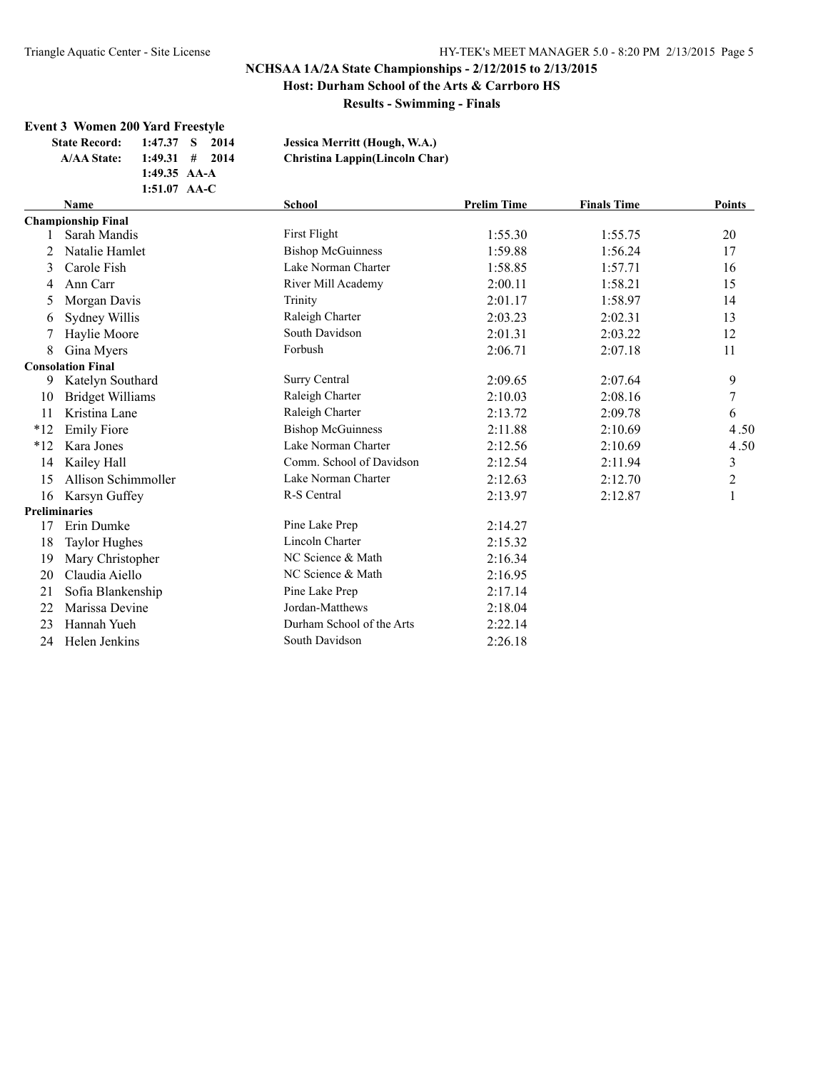**Results - Swimming - Finals**

# **Event 3 Women 200 Yard Freestyle**

| <b>State Record:</b> | 1:47.37 S 2014   | Jessica Merritt (Hough, W.A.)  |
|----------------------|------------------|--------------------------------|
| <b>A/AA State:</b>   | $1:49.31$ # 2014 | Christina Lappin(Lincoln Char) |
|                      | 1:49.35 $AA-A$   |                                |
|                      | 1:51.07 $AA-C$   |                                |

|       | <b>Name</b>               | <b>School</b>             | <b>Prelim Time</b> | <b>Finals Time</b> | Points           |
|-------|---------------------------|---------------------------|--------------------|--------------------|------------------|
|       | <b>Championship Final</b> |                           |                    |                    |                  |
|       | Sarah Mandis              | First Flight              | 1:55.30            | 1:55.75            | 20               |
| 2     | Natalie Hamlet            | <b>Bishop McGuinness</b>  | 1:59.88            | 1:56.24            | 17               |
| 3     | Carole Fish               | Lake Norman Charter       | 1:58.85            | 1:57.71            | 16               |
| 4     | Ann Carr                  | River Mill Academy        | 2:00.11            | 1:58.21            | 15               |
| 5     | Morgan Davis              | Trinity                   | 2:01.17            | 1:58.97            | 14               |
| 6     | Sydney Willis             | Raleigh Charter           | 2:03.23            | 2:02.31            | 13               |
|       | Haylie Moore              | South Davidson            | 2:01.31            | 2:03.22            | 12               |
| 8     | Gina Myers                | Forbush                   | 2:06.71            | 2:07.18            | 11               |
|       | <b>Consolation Final</b>  |                           |                    |                    |                  |
| 9     | Katelyn Southard          | Surry Central             | 2:09.65            | 2:07.64            | 9                |
| 10    | <b>Bridget Williams</b>   | Raleigh Charter           | 2:10.03            | 2:08.16            | $\boldsymbol{7}$ |
| 11    | Kristina Lane             | Raleigh Charter           | 2:13.72            | 2:09.78            | 6                |
| $*12$ | <b>Emily Fiore</b>        | <b>Bishop McGuinness</b>  | 2:11.88            | 2:10.69            | 4.50             |
| $*12$ | Kara Jones                | Lake Norman Charter       | 2:12.56            | 2:10.69            | 4.50             |
| 14    | Kailey Hall               | Comm. School of Davidson  | 2:12.54            | 2:11.94            | $\mathfrak{Z}$   |
| 15    | Allison Schimmoller       | Lake Norman Charter       | 2:12.63            | 2:12.70            | $\overline{c}$   |
| 16    | Karsyn Guffey             | R-S Central               | 2:13.97            | 2:12.87            | $\mathbf{1}$     |
|       | <b>Preliminaries</b>      |                           |                    |                    |                  |
| 17    | Erin Dumke                | Pine Lake Prep            | 2:14.27            |                    |                  |
| 18    | <b>Taylor Hughes</b>      | <b>Lincoln Charter</b>    | 2:15.32            |                    |                  |
| 19    | Mary Christopher          | NC Science & Math         | 2:16.34            |                    |                  |
| 20    | Claudia Aiello            | NC Science & Math         | 2:16.95            |                    |                  |
| 21    | Sofia Blankenship         | Pine Lake Prep            | 2:17.14            |                    |                  |
| 22    | Marissa Devine            | Jordan-Matthews           | 2:18.04            |                    |                  |
| 23    | Hannah Yueh               | Durham School of the Arts | 2:22.14            |                    |                  |
| 24    | Helen Jenkins             | South Davidson            | 2:26.18            |                    |                  |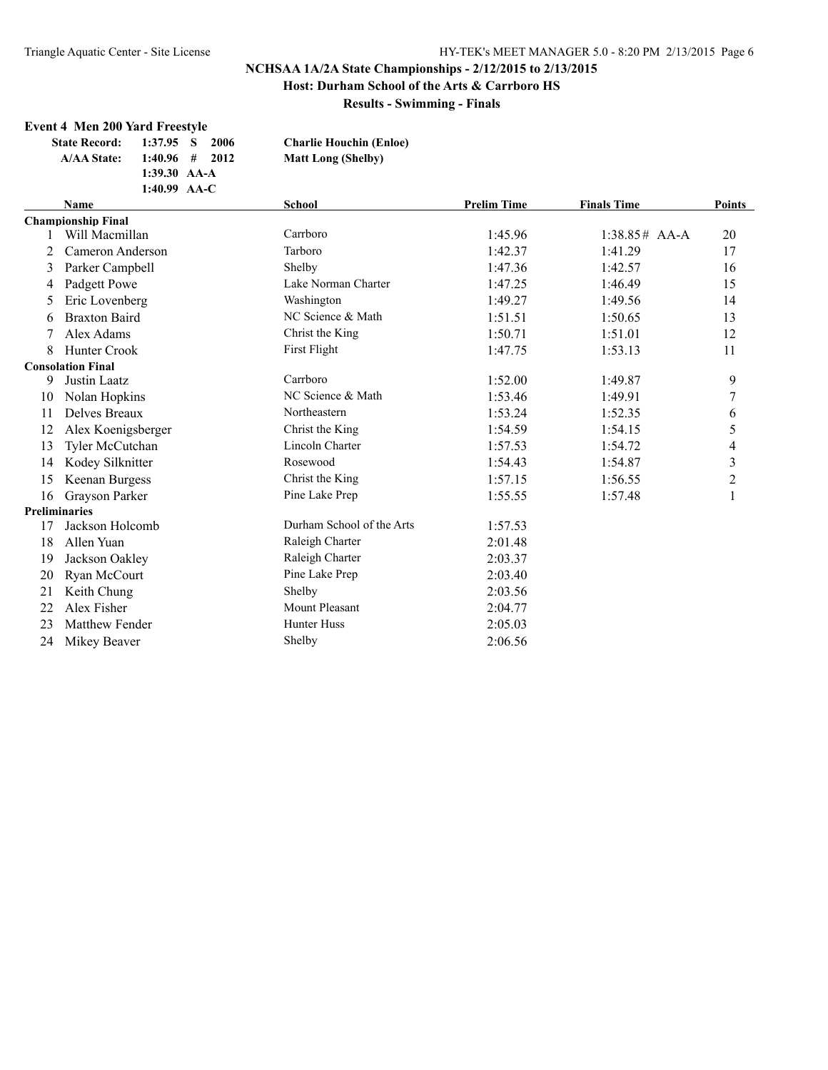**Results - Swimming - Finals**

# **Event 4 Men 200 Yard Freestyle**

| <b>State Record:</b> | $1:37.95$ S    | -2006 | <b>Charlie Houchin (Enloe)</b> |
|----------------------|----------------|-------|--------------------------------|
| <b>A/AA State:</b>   | $1:40.96$ #    | 2012  | <b>Matt Long (Shelby)</b>      |
|                      | 1:39.30 $AA-A$ |       |                                |
|                      | 1:40.99 $AA-C$ |       |                                |

|    | <b>Name</b>               | <b>School</b>             | <b>Prelim Time</b> | <b>Finals Time</b> | <b>Points</b>           |
|----|---------------------------|---------------------------|--------------------|--------------------|-------------------------|
|    | <b>Championship Final</b> |                           |                    |                    |                         |
|    | Will Macmillan            | Carrboro                  | 1:45.96            | $1:38.85#$ AA-A    | 20                      |
| 2  | Cameron Anderson          | Tarboro                   | 1:42.37            | 1:41.29            | 17                      |
| 3  | Parker Campbell           | Shelby                    | 1:47.36            | 1:42.57            | 16                      |
| 4  | Padgett Powe              | Lake Norman Charter       | 1:47.25            | 1:46.49            | 15                      |
| 5  | Eric Lovenberg            | Washington                | 1:49.27            | 1:49.56            | 14                      |
| 6  | <b>Braxton Baird</b>      | NC Science & Math         | 1:51.51            | 1:50.65            | 13                      |
|    | Alex Adams                | Christ the King           | 1:50.71            | 1:51.01            | 12                      |
| 8  | <b>Hunter Crook</b>       | First Flight              | 1:47.75            | 1:53.13            | 11                      |
|    | <b>Consolation Final</b>  |                           |                    |                    |                         |
| 9  | Justin Laatz              | Carrboro                  | 1:52.00            | 1:49.87            | 9                       |
| 10 | Nolan Hopkins             | NC Science & Math         | 1:53.46            | 1:49.91            | 7                       |
| 11 | Delves Breaux             | Northeastern              | 1:53.24            | 1:52.35            | 6                       |
| 12 | Alex Koenigsberger        | Christ the King           | 1:54.59            | 1:54.15            | 5                       |
| 13 | Tyler McCutchan           | Lincoln Charter           | 1:57.53            | 1:54.72            | 4                       |
| 14 | Kodey Silknitter          | Rosewood                  | 1:54.43            | 1:54.87            | $\overline{\mathbf{3}}$ |
| 15 | Keenan Burgess            | Christ the King           | 1:57.15            | 1:56.55            | $\overline{c}$          |
| 16 | Grayson Parker            | Pine Lake Prep            | 1:55.55            | 1:57.48            | $\mathbf{1}$            |
|    | <b>Preliminaries</b>      |                           |                    |                    |                         |
| 17 | Jackson Holcomb           | Durham School of the Arts | 1:57.53            |                    |                         |
| 18 | Allen Yuan                | Raleigh Charter           | 2:01.48            |                    |                         |
| 19 | Jackson Oakley            | Raleigh Charter           | 2:03.37            |                    |                         |
| 20 | Ryan McCourt              | Pine Lake Prep            | 2:03.40            |                    |                         |
| 21 | Keith Chung               | Shelby                    | 2:03.56            |                    |                         |
| 22 | Alex Fisher               | <b>Mount Pleasant</b>     | 2:04.77            |                    |                         |
| 23 | <b>Matthew Fender</b>     | <b>Hunter Huss</b>        | 2:05.03            |                    |                         |
| 24 | Mikey Beaver              | Shelby                    | 2:06.56            |                    |                         |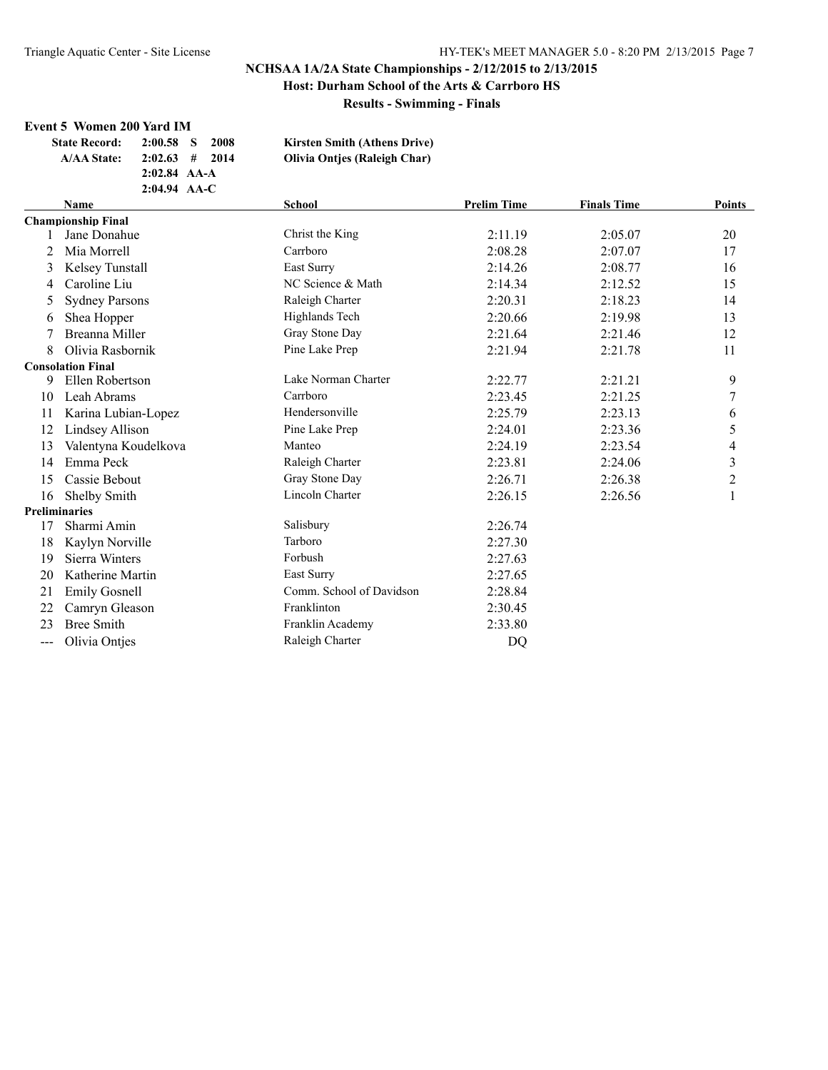**Results - Swimming - Finals**

# **Event 5 Women 200 Yard IM**

| <b>State Record:</b> | $2:00.58$ S    | 2008             | <b>Kirsten Smith (Athens Drive)</b> |
|----------------------|----------------|------------------|-------------------------------------|
| <b>A/AA State:</b>   |                | $2:02.63$ # 2014 | <b>Olivia Onties (Raleigh Char)</b> |
|                      | $2:02.84$ AA-A |                  |                                     |
|                      | $2:04.94$ AA-C |                  |                                     |

|                            | <b>Name</b>               | <b>School</b>            | <b>Prelim Time</b> | <b>Finals Time</b> | <b>Points</b>  |
|----------------------------|---------------------------|--------------------------|--------------------|--------------------|----------------|
|                            | <b>Championship Final</b> |                          |                    |                    |                |
|                            | Jane Donahue              | Christ the King          | 2:11.19            | 2:05.07            | 20             |
| 2                          | Mia Morrell               | Carrboro                 | 2:08.28            | 2:07.07            | 17             |
| 3                          | Kelsey Tunstall           | East Surry               | 2:14.26            | 2:08.77            | 16             |
| 4                          | Caroline Liu              | NC Science & Math        | 2:14.34            | 2:12.52            | 15             |
| $\mathcal{L}$              | <b>Sydney Parsons</b>     | Raleigh Charter          | 2:20.31            | 2:18.23            | 14             |
| 6                          | Shea Hopper               | Highlands Tech           | 2:20.66            | 2:19.98            | 13             |
|                            | Breanna Miller            | Gray Stone Day           | 2:21.64            | 2:21.46            | 12             |
| 8                          | Olivia Rasbornik          | Pine Lake Prep           | 2:21.94            | 2:21.78            | 11             |
|                            | <b>Consolation Final</b>  |                          |                    |                    |                |
| 9                          | Ellen Robertson           | Lake Norman Charter      | 2:22.77            | 2:21.21            | 9              |
| 10                         | Leah Abrams               | Carrboro                 | 2:23.45            | 2:21.25            | 7              |
| 11                         | Karina Lubian-Lopez       | Hendersonville           | 2:25.79            | 2:23.13            | 6              |
| 12                         | Lindsey Allison           | Pine Lake Prep           | 2:24.01            | 2:23.36            | 5              |
| 13                         | Valentyna Koudelkova      | Manteo                   | 2:24.19            | 2:23.54            | 4              |
| 14                         | Emma Peck                 | Raleigh Charter          | 2:23.81            | 2:24.06            | $\mathfrak{Z}$ |
| 15                         | Cassie Bebout             | Gray Stone Day           | 2:26.71            | 2:26.38            | 2              |
| 16                         | Shelby Smith              | <b>Lincoln Charter</b>   | 2:26.15            | 2:26.56            | 1              |
| <b>Preliminaries</b>       |                           |                          |                    |                    |                |
| 17                         | Sharmi Amin               | Salisbury                | 2:26.74            |                    |                |
| 18                         | Kaylyn Norville           | Tarboro                  | 2:27.30            |                    |                |
| 19                         | Sierra Winters            | Forbush                  | 2:27.63            |                    |                |
| 20                         | Katherine Martin          | East Surry               | 2:27.65            |                    |                |
| 21                         | <b>Emily Gosnell</b>      | Comm. School of Davidson | 2:28.84            |                    |                |
| 22                         | Camryn Gleason            | Franklinton              | 2:30.45            |                    |                |
| 23                         | <b>Bree Smith</b>         | Franklin Academy         | 2:33.80            |                    |                |
| $\qquad \qquad \text{---}$ | Olivia Ontjes             | Raleigh Charter          | DQ                 |                    |                |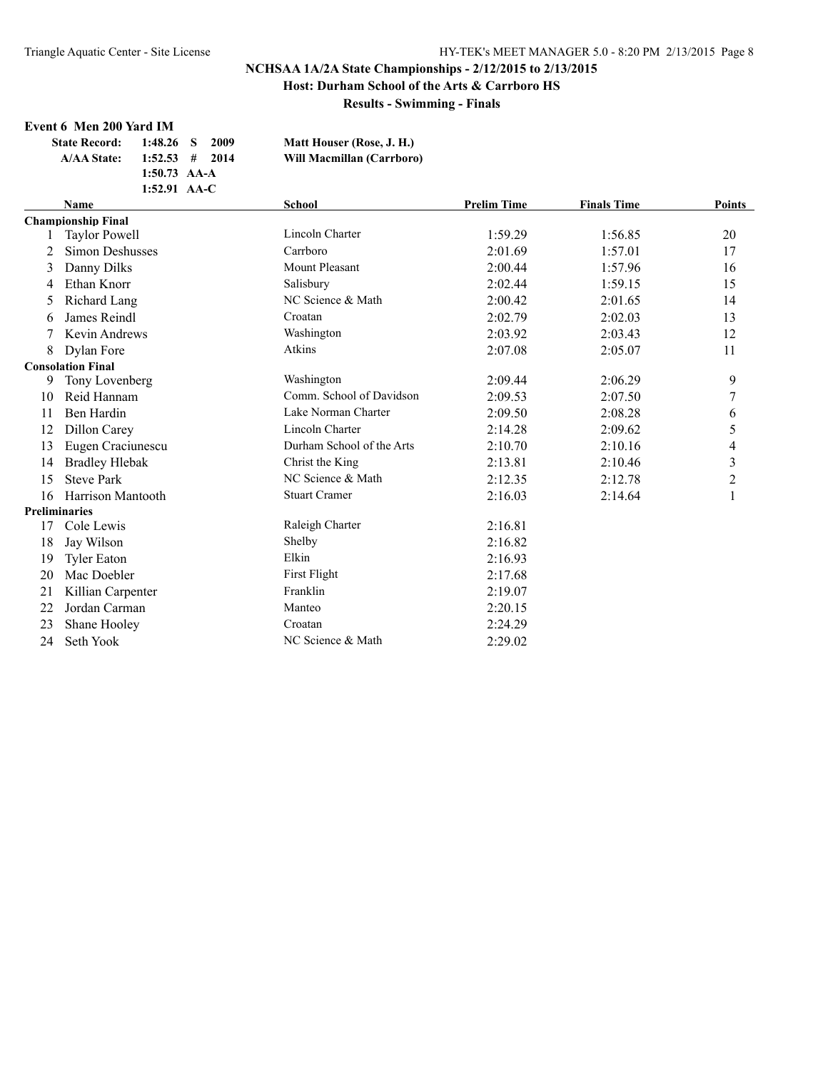**Results - Swimming - Finals**

#### **Event 6 Men 200 Yard IM**

| <b>State Record:</b> | $1:48.26$ S      | -2009 | Matt Houser (Rose, J. H.) |
|----------------------|------------------|-------|---------------------------|
| <b>A/AA State:</b>   | $1:52.53$ # 2014 |       | Will Macmillan (Carrboro) |
|                      | 1:50.73 $AA-A$   |       |                           |
|                      | 1:52.91 $AA-C$   |       |                           |

|    | <b>Name</b>               | <b>School</b>             | <b>Prelim Time</b> | <b>Finals Time</b> | <b>Points</b>  |
|----|---------------------------|---------------------------|--------------------|--------------------|----------------|
|    | <b>Championship Final</b> |                           |                    |                    |                |
|    | <b>Taylor Powell</b>      | Lincoln Charter           | 1:59.29            | 1:56.85            | 20             |
| 2  | <b>Simon Deshusses</b>    | Carrboro                  | 2:01.69            | 1:57.01            | 17             |
| 3  | Danny Dilks               | Mount Pleasant            | 2:00.44            | 1:57.96            | 16             |
| 4  | Ethan Knorr               | Salisbury                 | 2:02.44            | 1:59.15            | 15             |
| 5  | Richard Lang              | NC Science & Math         | 2:00.42            | 2:01.65            | 14             |
| 6  | James Reindl              | Croatan                   | 2:02.79            | 2:02.03            | 13             |
|    | Kevin Andrews             | Washington                | 2:03.92            | 2:03.43            | 12             |
| 8  | Dylan Fore                | Atkins                    | 2:07.08            | 2:05.07            | 11             |
|    | <b>Consolation Final</b>  |                           |                    |                    |                |
| 9  | Tony Lovenberg            | Washington                | 2:09.44            | 2:06.29            | 9              |
| 10 | Reid Hannam               | Comm. School of Davidson  | 2:09.53            | 2:07.50            | 7              |
| 11 | Ben Hardin                | Lake Norman Charter       | 2:09.50            | 2:08.28            | 6              |
| 12 | Dillon Carey              | <b>Lincoln Charter</b>    | 2:14.28            | 2:09.62            | 5              |
| 13 | Eugen Craciunescu         | Durham School of the Arts | 2:10.70            | 2:10.16            | 4              |
| 14 | <b>Bradley Hlebak</b>     | Christ the King           | 2:13.81            | 2:10.46            | 3              |
| 15 | <b>Steve Park</b>         | NC Science & Math         | 2:12.35            | 2:12.78            | $\overline{c}$ |
| 16 | Harrison Mantooth         | <b>Stuart Cramer</b>      | 2:16.03            | 2:14.64            | 1              |
|    | <b>Preliminaries</b>      |                           |                    |                    |                |
| 17 | Cole Lewis                | Raleigh Charter           | 2:16.81            |                    |                |
| 18 | Jay Wilson                | Shelby                    | 2:16.82            |                    |                |
| 19 | <b>Tyler Eaton</b>        | Elkin                     | 2:16.93            |                    |                |
| 20 | Mac Doebler               | First Flight              | 2:17.68            |                    |                |
| 21 | Killian Carpenter         | Franklin                  | 2:19.07            |                    |                |
| 22 | Jordan Carman             | Manteo                    | 2:20.15            |                    |                |
| 23 | Shane Hooley              | Croatan                   | 2:24.29            |                    |                |
| 24 | Seth Yook                 | NC Science & Math         | 2:29.02            |                    |                |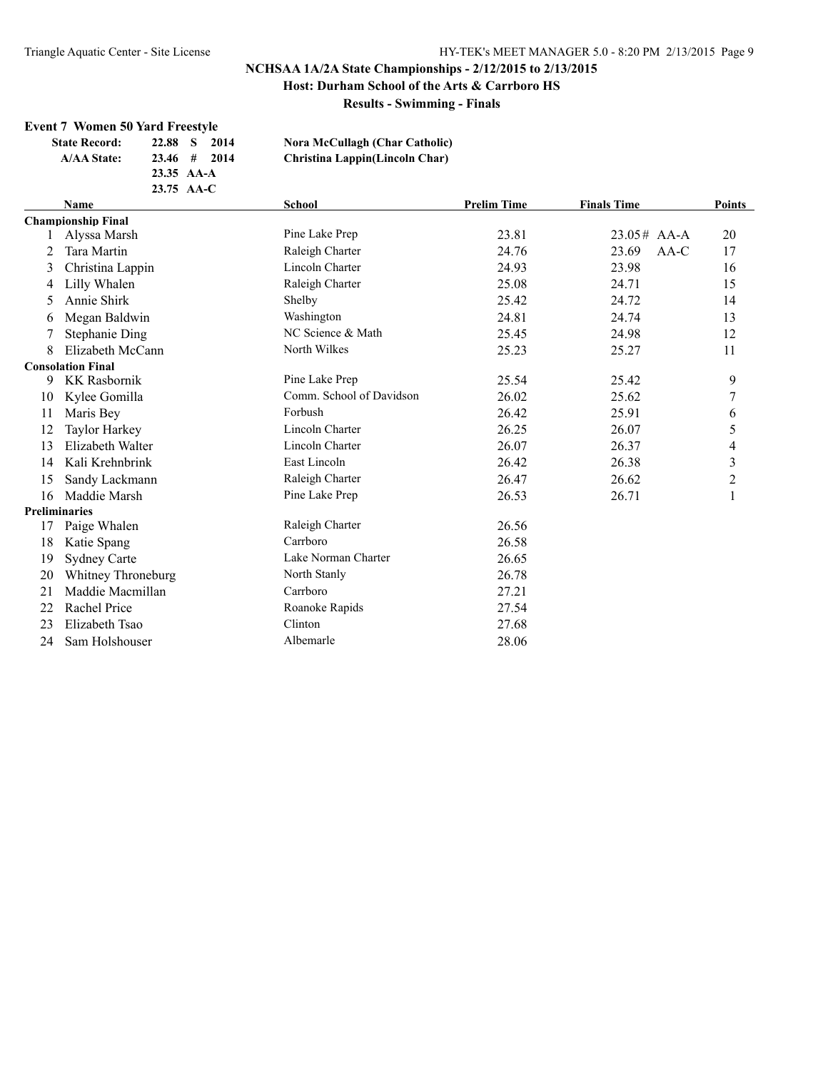**Results - Swimming - Finals**

# **Event 7 Women 50 Yard Freestyle**

| <b>State Record:</b> | - S -<br>22.88<br>2014 | <b>Nora McCullagh (Char Catholic)</b> |
|----------------------|------------------------|---------------------------------------|
| <b>A/AA State:</b>   | $23.46 \pm 2014$       | Christina Lappin(Lincoln Char)        |
|                      | $23.35 \text{AA-A}$    |                                       |
|                      | 23.75 AA-C             |                                       |

|    | Name                      | <b>School</b>            | <b>Prelim Time</b> | <b>Finals Time</b> | Points                  |
|----|---------------------------|--------------------------|--------------------|--------------------|-------------------------|
|    | <b>Championship Final</b> |                          |                    |                    |                         |
|    | Alyssa Marsh              | Pine Lake Prep           | 23.81              | $23.05#$ AA-A      | 20                      |
| 2  | Tara Martin               | Raleigh Charter          | 24.76              | 23.69<br>$AA-C$    | 17                      |
| 3  | Christina Lappin          | Lincoln Charter          | 24.93              | 23.98              | 16                      |
| 4  | Lilly Whalen              | Raleigh Charter          | 25.08              | 24.71              | 15                      |
| 5  | Annie Shirk               | Shelby                   | 25.42              | 24.72              | 14                      |
| 6  | Megan Baldwin             | Washington               | 24.81              | 24.74              | 13                      |
|    | <b>Stephanie Ding</b>     | NC Science & Math        | 25.45              | 24.98              | 12                      |
| 8  | Elizabeth McCann          | North Wilkes             | 25.23              | 25.27              | 11                      |
|    | <b>Consolation Final</b>  |                          |                    |                    |                         |
| 9  | <b>KK Rasbornik</b>       | Pine Lake Prep           | 25.54              | 25.42              | 9                       |
| 10 | Kylee Gomilla             | Comm. School of Davidson | 26.02              | 25.62              | 7                       |
| 11 | Maris Bey                 | Forbush                  | 26.42              | 25.91              | 6                       |
| 12 | Taylor Harkey             | <b>Lincoln Charter</b>   | 26.25              | 26.07              | 5                       |
| 13 | Elizabeth Walter          | Lincoln Charter          | 26.07              | 26.37              | 4                       |
| 14 | Kali Krehnbrink           | East Lincoln             | 26.42              | 26.38              | $\overline{\mathbf{3}}$ |
| 15 | Sandy Lackmann            | Raleigh Charter          | 26.47              | 26.62              | $\overline{c}$          |
| 16 | Maddie Marsh              | Pine Lake Prep           | 26.53              | 26.71              | $\mathbf{1}$            |
|    | <b>Preliminaries</b>      |                          |                    |                    |                         |
| 17 | Paige Whalen              | Raleigh Charter          | 26.56              |                    |                         |
| 18 | Katie Spang               | Carrboro                 | 26.58              |                    |                         |
| 19 | <b>Sydney Carte</b>       | Lake Norman Charter      | 26.65              |                    |                         |
| 20 | Whitney Throneburg        | North Stanly             | 26.78              |                    |                         |
| 21 | Maddie Macmillan          | Carrboro                 | 27.21              |                    |                         |
| 22 | Rachel Price              | Roanoke Rapids           | 27.54              |                    |                         |
| 23 | Elizabeth Tsao            | Clinton                  | 27.68              |                    |                         |
| 24 | Sam Holshouser            | Albemarle                | 28.06              |                    |                         |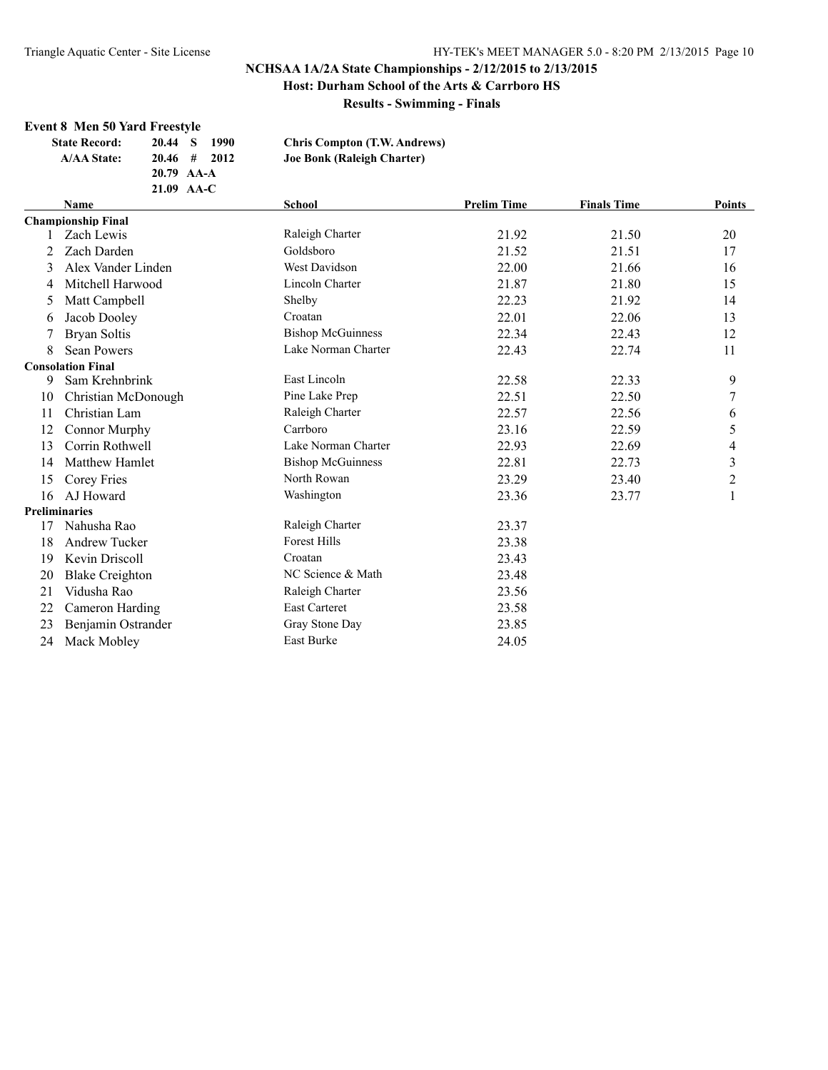**Results - Swimming - Finals**

# **Event 8 Men 50 Yard Freestyle**

| <b>State Record:</b> | 20.44 S<br>1990 | <b>Chris Compton (T.W. Andrews)</b> |
|----------------------|-----------------|-------------------------------------|
| <b>A/AA State:</b>   | $20.46$ # 2012  | Joe Bonk (Raleigh Charter)          |
|                      | 20.79 AA-A      |                                     |
|                      | $21.09$ AA-C    |                                     |

|    | <b>Name</b>               | <b>School</b>            | <b>Prelim Time</b> | <b>Finals Time</b> | <b>Points</b> |
|----|---------------------------|--------------------------|--------------------|--------------------|---------------|
|    | <b>Championship Final</b> |                          |                    |                    |               |
|    | Zach Lewis                | Raleigh Charter          | 21.92              | 21.50              | 20            |
| 2  | Zach Darden               | Goldsboro                | 21.52              | 21.51              | 17            |
| 3  | Alex Vander Linden        | West Davidson            | 22.00              | 21.66              | 16            |
| 4  | Mitchell Harwood          | Lincoln Charter          | 21.87              | 21.80              | 15            |
| 5  | Matt Campbell             | Shelby                   | 22.23              | 21.92              | 14            |
| 6  | Jacob Dooley              | Croatan                  | 22.01              | 22.06              | 13            |
|    | <b>Bryan Soltis</b>       | <b>Bishop McGuinness</b> | 22.34              | 22.43              | 12            |
| 8  | <b>Sean Powers</b>        | Lake Norman Charter      | 22.43              | 22.74              | 11            |
|    | <b>Consolation Final</b>  |                          |                    |                    |               |
| 9  | Sam Krehnbrink            | East Lincoln             | 22.58              | 22.33              | 9             |
| 10 | Christian McDonough       | Pine Lake Prep           | 22.51              | 22.50              | 7             |
| 11 | Christian Lam             | Raleigh Charter          | 22.57              | 22.56              | 6             |
| 12 | Connor Murphy             | Carrboro                 | 23.16              | 22.59              | 5             |
| 13 | Corrin Rothwell           | Lake Norman Charter      | 22.93              | 22.69              | 4             |
| 14 | <b>Matthew Hamlet</b>     | <b>Bishop McGuinness</b> | 22.81              | 22.73              | 3             |
| 15 | Corey Fries               | North Rowan              | 23.29              | 23.40              | 2             |
| 16 | AJ Howard                 | Washington               | 23.36              | 23.77              |               |
|    | <b>Preliminaries</b>      |                          |                    |                    |               |
| 17 | Nahusha Rao               | Raleigh Charter          | 23.37              |                    |               |
| 18 | <b>Andrew Tucker</b>      | <b>Forest Hills</b>      | 23.38              |                    |               |
| 19 | Kevin Driscoll            | Croatan                  | 23.43              |                    |               |
| 20 | <b>Blake Creighton</b>    | NC Science & Math        | 23.48              |                    |               |
| 21 | Vidusha Rao               | Raleigh Charter          | 23.56              |                    |               |
| 22 | Cameron Harding           | <b>East Carteret</b>     | 23.58              |                    |               |
| 23 | Benjamin Ostrander        | Gray Stone Day           | 23.85              |                    |               |
| 24 | Mack Mobley               | East Burke               | 24.05              |                    |               |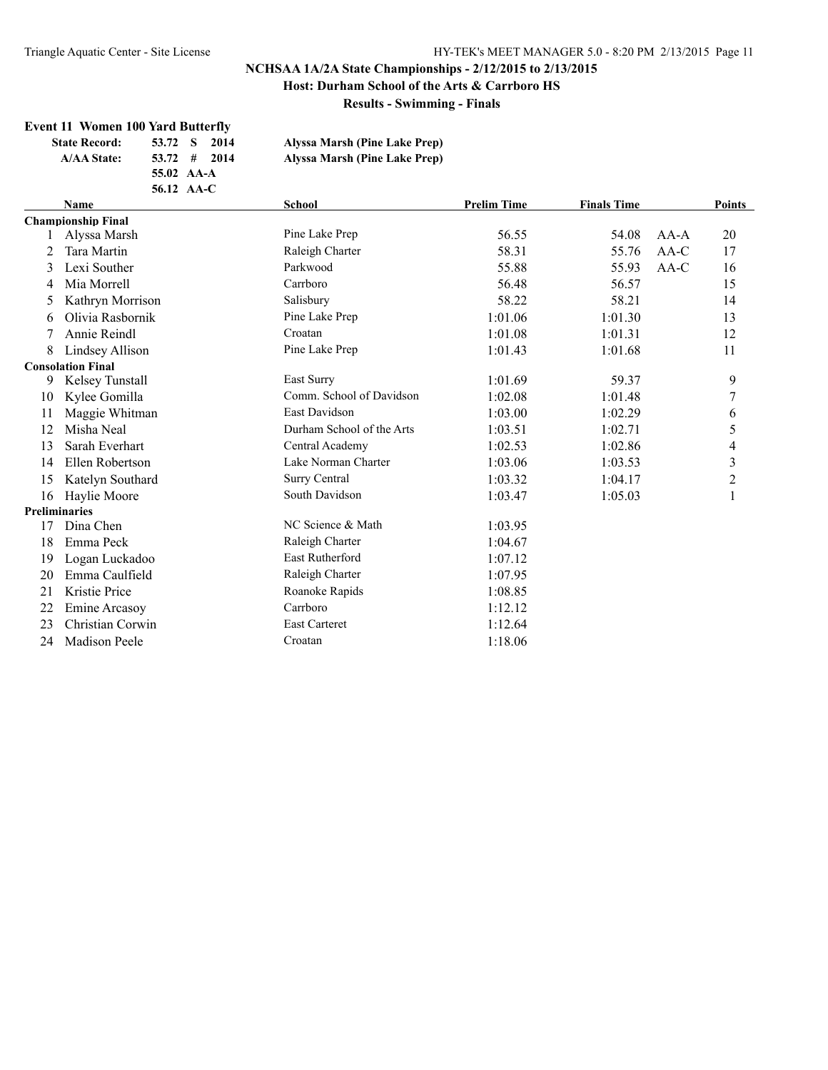**Results - Swimming - Finals**

# **Event 11 Women 100 Yard Butterfly**

| <b>State Record:</b> | 53.72 S                    | 2014 | Alyssa Marsh (Pine Lake Prep) |
|----------------------|----------------------------|------|-------------------------------|
| <b>A/AA State:</b>   | $53.72 \quad # \quad 2014$ |      | Alyssa Marsh (Pine Lake Prep) |
|                      | 55.02 AA-A                 |      |                               |
|                      | 56.12 AA-C                 |      |                               |

|    | Name                      | <b>School</b>             | <b>Prelim Time</b> | <b>Finals Time</b> |        | Points                  |
|----|---------------------------|---------------------------|--------------------|--------------------|--------|-------------------------|
|    | <b>Championship Final</b> |                           |                    |                    |        |                         |
|    | Alyssa Marsh              | Pine Lake Prep            | 56.55              | 54.08              | $AA-A$ | 20                      |
| 2  | Tara Martin               | Raleigh Charter           | 58.31              | 55.76              | AA-C   | 17                      |
| 3  | Lexi Souther              | Parkwood                  | 55.88              | 55.93              | AA-C   | 16                      |
| 4  | Mia Morrell               | Carrboro                  | 56.48              | 56.57              |        | 15                      |
| 5  | Kathryn Morrison          | Salisbury                 | 58.22              | 58.21              |        | 14                      |
| 6  | Olivia Rasbornik          | Pine Lake Prep            | 1:01.06            | 1:01.30            |        | 13                      |
|    | Annie Reindl              | Croatan                   | 1:01.08            | 1:01.31            |        | 12                      |
| 8  | Lindsey Allison           | Pine Lake Prep            | 1:01.43            | 1:01.68            |        | 11                      |
|    | <b>Consolation Final</b>  |                           |                    |                    |        |                         |
| 9  | Kelsey Tunstall           | East Surry                | 1:01.69            | 59.37              |        | 9                       |
| 10 | Kylee Gomilla             | Comm. School of Davidson  | 1:02.08            | 1:01.48            |        | 7                       |
| 11 | Maggie Whitman            | <b>East Davidson</b>      | 1:03.00            | 1:02.29            |        | 6                       |
| 12 | Misha Neal                | Durham School of the Arts | 1:03.51            | 1:02.71            |        | 5                       |
| 13 | Sarah Everhart            | Central Academy           | 1:02.53            | 1:02.86            |        | 4                       |
| 14 | Ellen Robertson           | Lake Norman Charter       | 1:03.06            | 1:03.53            |        | $\overline{\mathbf{3}}$ |
| 15 | Katelyn Southard          | Surry Central             | 1:03.32            | 1:04.17            |        | 2                       |
| 16 | Haylie Moore              | South Davidson            | 1:03.47            | 1:05.03            |        | 1                       |
|    | <b>Preliminaries</b>      |                           |                    |                    |        |                         |
| 17 | Dina Chen                 | NC Science & Math         | 1:03.95            |                    |        |                         |
| 18 | Emma Peck                 | Raleigh Charter           | 1:04.67            |                    |        |                         |
| 19 | Logan Luckadoo            | East Rutherford           | 1:07.12            |                    |        |                         |
| 20 | Emma Caulfield            | Raleigh Charter           | 1:07.95            |                    |        |                         |
| 21 | Kristie Price             | Roanoke Rapids            | 1:08.85            |                    |        |                         |
| 22 | <b>Emine Arcasoy</b>      | Carrboro                  | 1:12.12            |                    |        |                         |
| 23 | Christian Corwin          | <b>East Carteret</b>      | 1:12.64            |                    |        |                         |
| 24 | Madison Peele             | Croatan                   | 1:18.06            |                    |        |                         |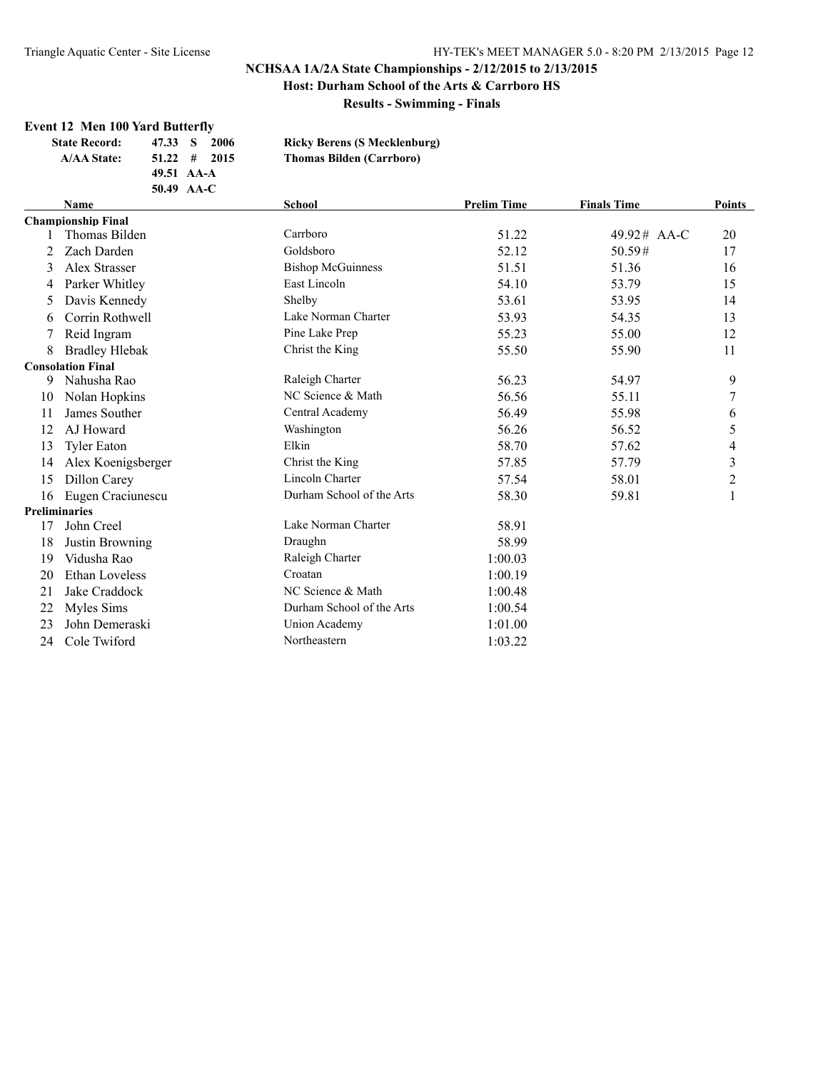**Results - Swimming - Finals**

# **Event 12 Men 100 Yard Butterfly**

| <b>State Record:</b> | 47.33 S    | 2006 | <b>Ricky Berens (S Mecklenburg)</b> |
|----------------------|------------|------|-------------------------------------|
| <b>A/AA State:</b>   | $51.22$ #  | 2015 | <b>Thomas Bilden (Carrboro)</b>     |
|                      | 49.51 AA-A |      |                                     |
|                      | 50.49 AA-C |      |                                     |

|    | <b>Name</b>               | <b>School</b>             | <b>Prelim Time</b> | <b>Finals Time</b> | Points                  |
|----|---------------------------|---------------------------|--------------------|--------------------|-------------------------|
|    | <b>Championship Final</b> |                           |                    |                    |                         |
|    | Thomas Bilden             | Carrboro                  | 51.22              | $49.92#$ AA-C      | 20                      |
|    | Zach Darden               | Goldsboro                 | 52.12              | 50.59#             | 17                      |
| 3  | Alex Strasser             | <b>Bishop McGuinness</b>  | 51.51              | 51.36              | 16                      |
| 4  | Parker Whitley            | East Lincoln              | 54.10              | 53.79              | 15                      |
| 5  | Davis Kennedy             | Shelby                    | 53.61              | 53.95              | 14                      |
| 6  | Corrin Rothwell           | Lake Norman Charter       | 53.93              | 54.35              | 13                      |
|    | Reid Ingram               | Pine Lake Prep            | 55.23              | 55.00              | 12                      |
| 8  | <b>Bradley Hlebak</b>     | Christ the King           | 55.50              | 55.90              | 11                      |
|    | <b>Consolation Final</b>  |                           |                    |                    |                         |
| 9  | Nahusha Rao               | Raleigh Charter           | 56.23              | 54.97              | 9                       |
| 10 | Nolan Hopkins             | NC Science & Math         | 56.56              | 55.11              | 7                       |
| 11 | James Souther             | Central Academy           | 56.49              | 55.98              | 6                       |
| 12 | AJ Howard                 | Washington                | 56.26              | 56.52              | 5                       |
| 13 | <b>Tyler Eaton</b>        | Elkin                     | 58.70              | 57.62              | 4                       |
| 14 | Alex Koenigsberger        | Christ the King           | 57.85              | 57.79              | $\overline{\mathbf{3}}$ |
| 15 | Dillon Carey              | <b>Lincoln Charter</b>    | 57.54              | 58.01              | $\overline{c}$          |
| 16 | Eugen Craciunescu         | Durham School of the Arts | 58.30              | 59.81              | 1                       |
|    | <b>Preliminaries</b>      |                           |                    |                    |                         |
| 17 | John Creel                | Lake Norman Charter       | 58.91              |                    |                         |
| 18 | Justin Browning           | Draughn                   | 58.99              |                    |                         |
| 19 | Vidusha Rao               | Raleigh Charter           | 1:00.03            |                    |                         |
| 20 | <b>Ethan Loveless</b>     | Croatan                   | 1:00.19            |                    |                         |
| 21 | Jake Craddock             | NC Science & Math         | 1:00.48            |                    |                         |
| 22 | Myles Sims                | Durham School of the Arts | 1:00.54            |                    |                         |
| 23 | John Demeraski            | <b>Union Academy</b>      | 1:01.00            |                    |                         |
| 24 | Cole Twiford              | Northeastern              | 1:03.22            |                    |                         |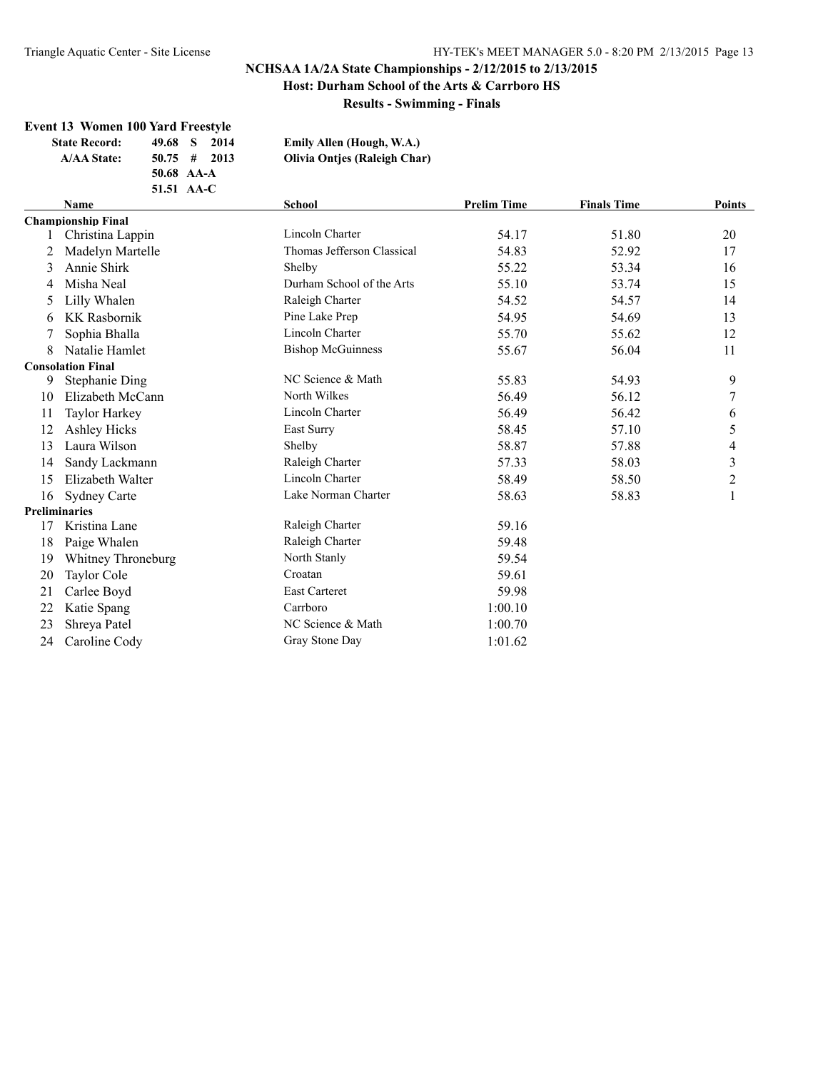**Results - Swimming - Finals**

# **Event 13 Women 100 Yard Freestyle**

| <b>State Record:</b> | 49.68 S    | 2014                       | Emily Allen (Hough, W.A.)           |
|----------------------|------------|----------------------------|-------------------------------------|
| <b>A/AA State:</b>   |            | $50.75 \quad # \quad 2013$ | <b>Olivia Ontjes (Raleigh Char)</b> |
|                      | 50.68 AA-A |                            |                                     |
|                      | 51.51 AA-C |                            |                                     |

|    | <b>Name</b>               | <b>School</b>              | <b>Prelim Time</b> | <b>Finals Time</b> | <b>Points</b>  |
|----|---------------------------|----------------------------|--------------------|--------------------|----------------|
|    | <b>Championship Final</b> |                            |                    |                    |                |
|    | Christina Lappin          | Lincoln Charter            | 54.17              | 51.80              | 20             |
| 2  | Madelyn Martelle          | Thomas Jefferson Classical | 54.83              | 52.92              | 17             |
| 3  | Annie Shirk               | Shelby                     | 55.22              | 53.34              | 16             |
| 4  | Misha Neal                | Durham School of the Arts  | 55.10              | 53.74              | 15             |
| 5  | Lilly Whalen              | Raleigh Charter            | 54.52              | 54.57              | 14             |
| 6  | <b>KK Rasbornik</b>       | Pine Lake Prep             | 54.95              | 54.69              | 13             |
|    | Sophia Bhalla             | <b>Lincoln Charter</b>     | 55.70              | 55.62              | 12             |
| 8  | Natalie Hamlet            | <b>Bishop McGuinness</b>   | 55.67              | 56.04              | 11             |
|    | <b>Consolation Final</b>  |                            |                    |                    |                |
| 9  | <b>Stephanie Ding</b>     | NC Science & Math          | 55.83              | 54.93              | 9              |
| 10 | Elizabeth McCann          | North Wilkes               | 56.49              | 56.12              | 7              |
| 11 | Taylor Harkey             | Lincoln Charter            | 56.49              | 56.42              | 6              |
| 12 | <b>Ashley Hicks</b>       | East Surry                 | 58.45              | 57.10              | 5              |
| 13 | Laura Wilson              | Shelby                     | 58.87              | 57.88              | 4              |
| 14 | Sandy Lackmann            | Raleigh Charter            | 57.33              | 58.03              | $\mathfrak{Z}$ |
| 15 | Elizabeth Walter          | <b>Lincoln Charter</b>     | 58.49              | 58.50              | $\overline{c}$ |
| 16 | <b>Sydney Carte</b>       | Lake Norman Charter        | 58.63              | 58.83              |                |
|    | <b>Preliminaries</b>      |                            |                    |                    |                |
| 17 | Kristina Lane             | Raleigh Charter            | 59.16              |                    |                |
| 18 | Paige Whalen              | Raleigh Charter            | 59.48              |                    |                |
| 19 | Whitney Throneburg        | North Stanly               | 59.54              |                    |                |
| 20 | Taylor Cole               | Croatan                    | 59.61              |                    |                |
| 21 | Carlee Boyd               | <b>East Carteret</b>       | 59.98              |                    |                |
| 22 | Katie Spang               | Carrboro                   | 1:00.10            |                    |                |
| 23 | Shreya Patel              | NC Science & Math          | 1:00.70            |                    |                |
| 24 | Caroline Cody             | Gray Stone Day             | 1:01.62            |                    |                |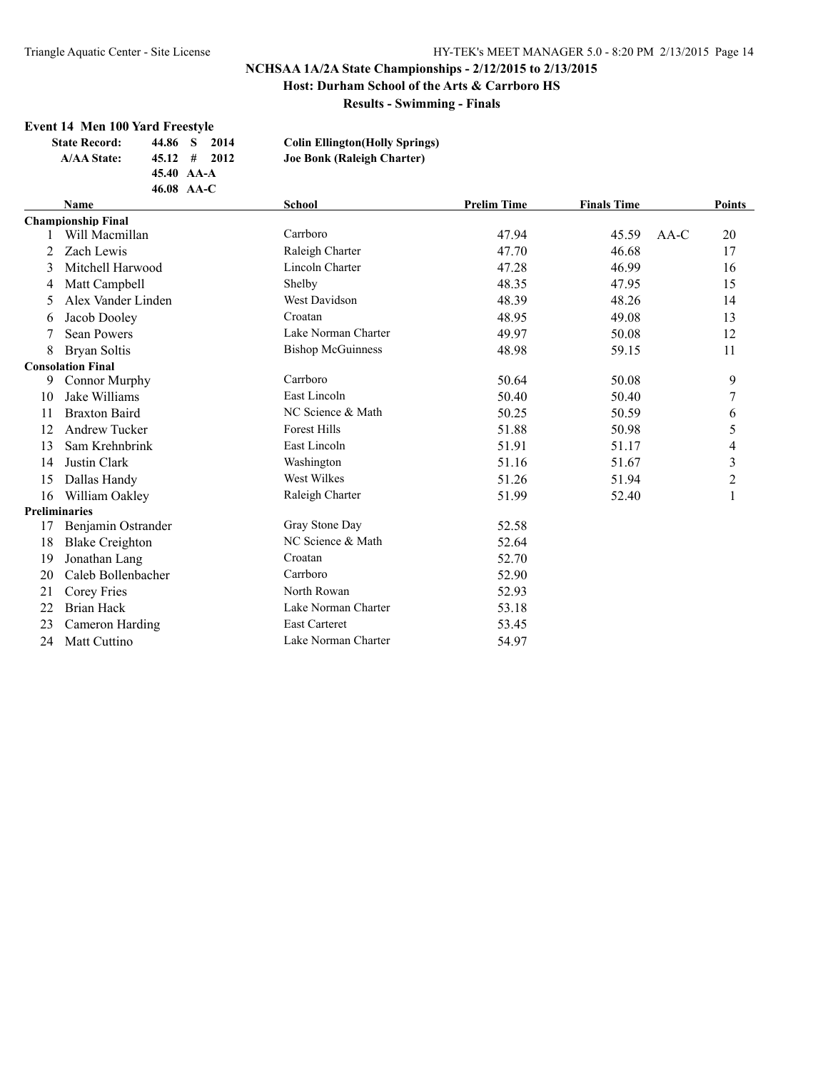**Results - Swimming - Finals**

# **Event 14 Men 100 Yard Freestyle**

| <b>State Record:</b> | - S<br>44.86<br>2014    | <b>Colin Ellington</b> (Holly Springs) |
|----------------------|-------------------------|----------------------------------------|
| <b>A/AA State:</b>   | $45.12 \quad #$<br>2012 | <b>Joe Bonk (Raleigh Charter)</b>      |
|                      | 45.40 AA-A              |                                        |
|                      | $46.08$ AA-C            |                                        |

|    | <b>Name</b>               | <b>School</b>            | <b>Prelim Time</b> | <b>Finals Time</b> |        | Points                  |
|----|---------------------------|--------------------------|--------------------|--------------------|--------|-------------------------|
|    | <b>Championship Final</b> |                          |                    |                    |        |                         |
|    | Will Macmillan            | Carrboro                 | 47.94              | 45.59              | $AA-C$ | 20                      |
|    | Zach Lewis                | Raleigh Charter          | 47.70              | 46.68              |        | 17                      |
|    | Mitchell Harwood          | Lincoln Charter          | 47.28              | 46.99              |        | 16                      |
| 4  | Matt Campbell             | Shelby                   | 48.35              | 47.95              |        | 15                      |
| 5  | Alex Vander Linden        | West Davidson            | 48.39              | 48.26              |        | 14                      |
| 6  | Jacob Dooley              | Croatan                  | 48.95              | 49.08              |        | 13                      |
|    | Sean Powers               | Lake Norman Charter      | 49.97              | 50.08              |        | 12                      |
| 8  | <b>Bryan Soltis</b>       | <b>Bishop McGuinness</b> | 48.98              | 59.15              |        | 11                      |
|    | <b>Consolation Final</b>  |                          |                    |                    |        |                         |
| 9  | Connor Murphy             | Carrboro                 | 50.64              | 50.08              |        | 9                       |
| 10 | Jake Williams             | East Lincoln             | 50.40              | 50.40              |        | 7                       |
| 11 | <b>Braxton Baird</b>      | NC Science & Math        | 50.25              | 50.59              |        | 6                       |
| 12 | <b>Andrew Tucker</b>      | <b>Forest Hills</b>      | 51.88              | 50.98              |        | 5                       |
| 13 | Sam Krehnbrink            | East Lincoln             | 51.91              | 51.17              |        | 4                       |
| 14 | Justin Clark              | Washington               | 51.16              | 51.67              |        | $\overline{\mathbf{3}}$ |
| 15 | Dallas Handy              | West Wilkes              | 51.26              | 51.94              |        | 2                       |
| 16 | William Oakley            | Raleigh Charter          | 51.99              | 52.40              |        | 1                       |
|    | <b>Preliminaries</b>      |                          |                    |                    |        |                         |
| 17 | Benjamin Ostrander        | Gray Stone Day           | 52.58              |                    |        |                         |
| 18 | <b>Blake Creighton</b>    | NC Science & Math        | 52.64              |                    |        |                         |
| 19 | Jonathan Lang             | Croatan                  | 52.70              |                    |        |                         |
| 20 | Caleb Bollenbacher        | Carrboro                 | 52.90              |                    |        |                         |
| 21 | Corey Fries               | North Rowan              | 52.93              |                    |        |                         |
| 22 | Brian Hack                | Lake Norman Charter      | 53.18              |                    |        |                         |
| 23 | Cameron Harding           | <b>East Carteret</b>     | 53.45              |                    |        |                         |
| 24 | Matt Cuttino              | Lake Norman Charter      | 54.97              |                    |        |                         |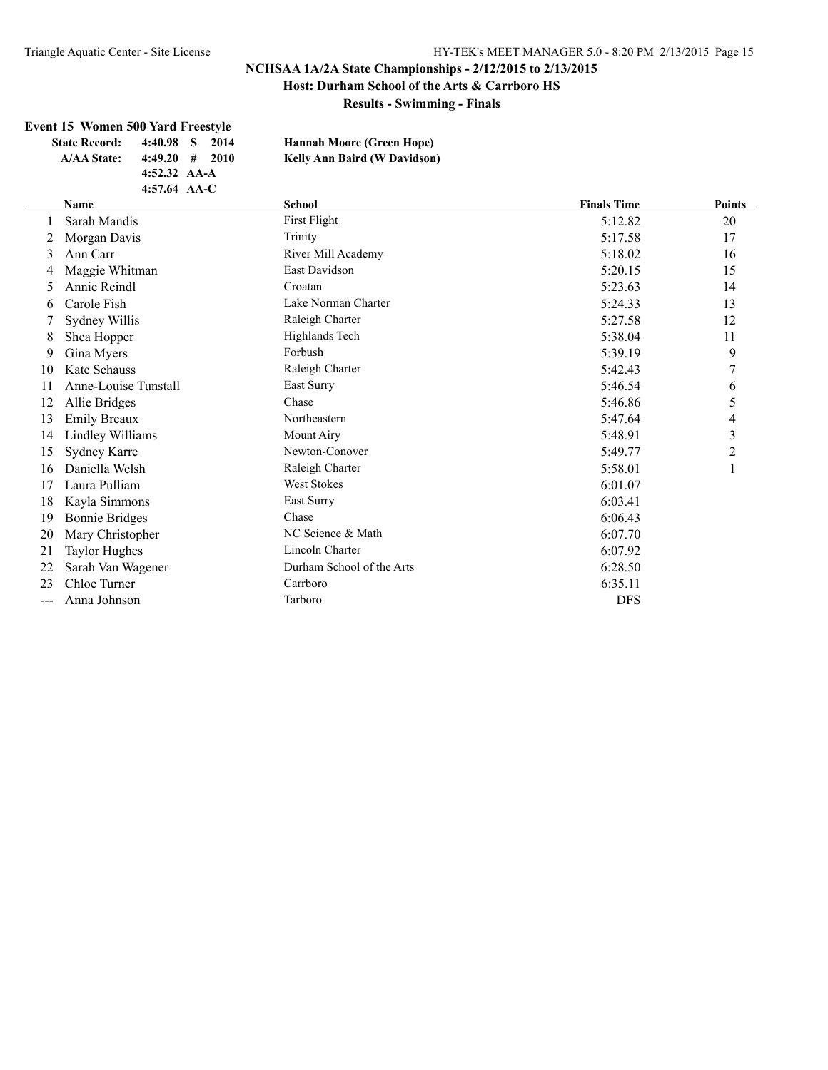**Results - Swimming - Finals**

# **Event 15 Women 500 Yard Freestyle**

| <b>State Record:</b> | $4:40.98$ S    | 2014   | <b>Hannah Moore (Green Hope)</b>    |
|----------------------|----------------|--------|-------------------------------------|
| <b>A/AA State:</b>   | $4:49.20$ #    | - 2010 | <b>Kelly Ann Baird (W Davidson)</b> |
|                      | 4:52.32 $AA-A$ |        |                                     |
|                      | 4:57.64 $AA-C$ |        |                                     |

|    | <b>Name</b>           | <b>School</b>             | <b>Finals Time</b> | Points |
|----|-----------------------|---------------------------|--------------------|--------|
|    | Sarah Mandis          | <b>First Flight</b>       | 5:12.82            | 20     |
| 2  | Morgan Davis          | Trinity                   | 5:17.58            | 17     |
| 3  | Ann Carr              | River Mill Academy        | 5:18.02            | 16     |
| 4  | Maggie Whitman        | East Davidson             | 5:20.15            | 15     |
| 5  | Annie Reindl          | Croatan                   | 5:23.63            | 14     |
| 6  | Carole Fish           | Lake Norman Charter       | 5:24.33            | 13     |
|    | Sydney Willis         | Raleigh Charter           | 5:27.58            | 12     |
| 8  | Shea Hopper           | Highlands Tech            | 5:38.04            | 11     |
| 9  | Gina Myers            | Forbush                   | 5:39.19            | 9      |
| 10 | Kate Schauss          | Raleigh Charter           | 5:42.43            |        |
| 11 | Anne-Louise Tunstall  | East Surry                | 5:46.54            | 6      |
| 12 | Allie Bridges         | Chase                     | 5:46.86            | 5      |
| 13 | <b>Emily Breaux</b>   | Northeastern              | 5:47.64            | 4      |
| 14 | Lindley Williams      | Mount Airy                | 5:48.91            | 3      |
| 15 | <b>Sydney Karre</b>   | Newton-Conover            | 5:49.77            | 2      |
| 16 | Daniella Welsh        | Raleigh Charter           | 5:58.01            |        |
| 17 | Laura Pulliam         | <b>West Stokes</b>        | 6:01.07            |        |
| 18 | Kayla Simmons         | East Surry                | 6:03.41            |        |
| 19 | <b>Bonnie Bridges</b> | Chase                     | 6:06.43            |        |
| 20 | Mary Christopher      | NC Science & Math         | 6:07.70            |        |
| 21 | <b>Taylor Hughes</b>  | Lincoln Charter           | 6:07.92            |        |
| 22 | Sarah Van Wagener     | Durham School of the Arts | 6:28.50            |        |
| 23 | Chloe Turner          | Carrboro                  | 6:35.11            |        |
|    | Anna Johnson          | Tarboro                   | <b>DFS</b>         |        |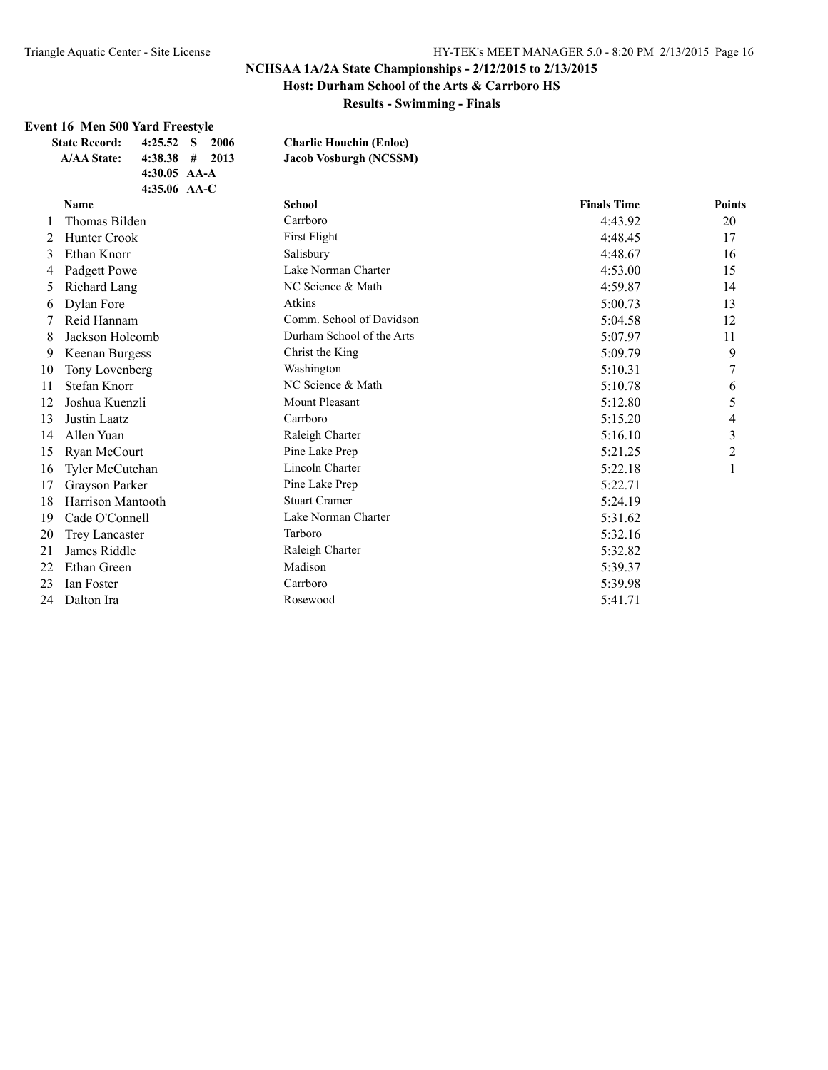**Results - Swimming - Finals**

# **Event 16 Men 500 Yard Freestyle**

| <b>State Record:</b> | 4:25.52 S           | <b>Charlie Houchin (Enloe)</b><br>-2006 |
|----------------------|---------------------|-----------------------------------------|
| <b>A/AA State:</b>   | $4:38.38$ #<br>2013 | Jacob Vosburgh (NCSSM)                  |
|                      | 4:30.05 $AA-A$      |                                         |
|                      | 4:35.06 $AA-C$      |                                         |

|    | <b>Name</b>         | <b>School</b>             | <b>Finals Time</b> | Points         |
|----|---------------------|---------------------------|--------------------|----------------|
|    | Thomas Bilden       | Carrboro                  | 4:43.92            | 20             |
|    | <b>Hunter Crook</b> | First Flight              | 4:48.45            | 17             |
| 3  | Ethan Knorr         | Salisbury                 | 4:48.67            | 16             |
| 4  | Padgett Powe        | Lake Norman Charter       | 4:53.00            | 15             |
| 5  | Richard Lang        | NC Science & Math         | 4:59.87            | 14             |
| 6  | Dylan Fore          | Atkins                    | 5:00.73            | 13             |
|    | Reid Hannam         | Comm. School of Davidson  | 5:04.58            | 12             |
| 8  | Jackson Holcomb     | Durham School of the Arts | 5:07.97            | 11             |
| 9  | Keenan Burgess      | Christ the King           | 5:09.79            | 9              |
| 10 | Tony Lovenberg      | Washington                | 5:10.31            | 7              |
| 11 | Stefan Knorr        | NC Science & Math         | 5:10.78            | 6              |
| 12 | Joshua Kuenzli      | <b>Mount Pleasant</b>     | 5:12.80            | 5              |
| 13 | Justin Laatz        | Carrboro                  | 5:15.20            | 4              |
| 14 | Allen Yuan          | Raleigh Charter           | 5:16.10            | $\mathfrak{Z}$ |
| 15 | Ryan McCourt        | Pine Lake Prep            | 5:21.25            | $\overline{2}$ |
| 16 | Tyler McCutchan     | Lincoln Charter           | 5:22.18            |                |
| 17 | Grayson Parker      | Pine Lake Prep            | 5:22.71            |                |
| 18 | Harrison Mantooth   | <b>Stuart Cramer</b>      | 5:24.19            |                |
| 19 | Cade O'Connell      | Lake Norman Charter       | 5:31.62            |                |
| 20 | Trey Lancaster      | Tarboro                   | 5:32.16            |                |
| 21 | James Riddle        | Raleigh Charter           | 5:32.82            |                |
| 22 | Ethan Green         | Madison                   | 5:39.37            |                |
| 23 | Ian Foster          | Carrboro                  | 5:39.98            |                |
| 24 | Dalton Ira          | Rosewood                  | 5:41.71            |                |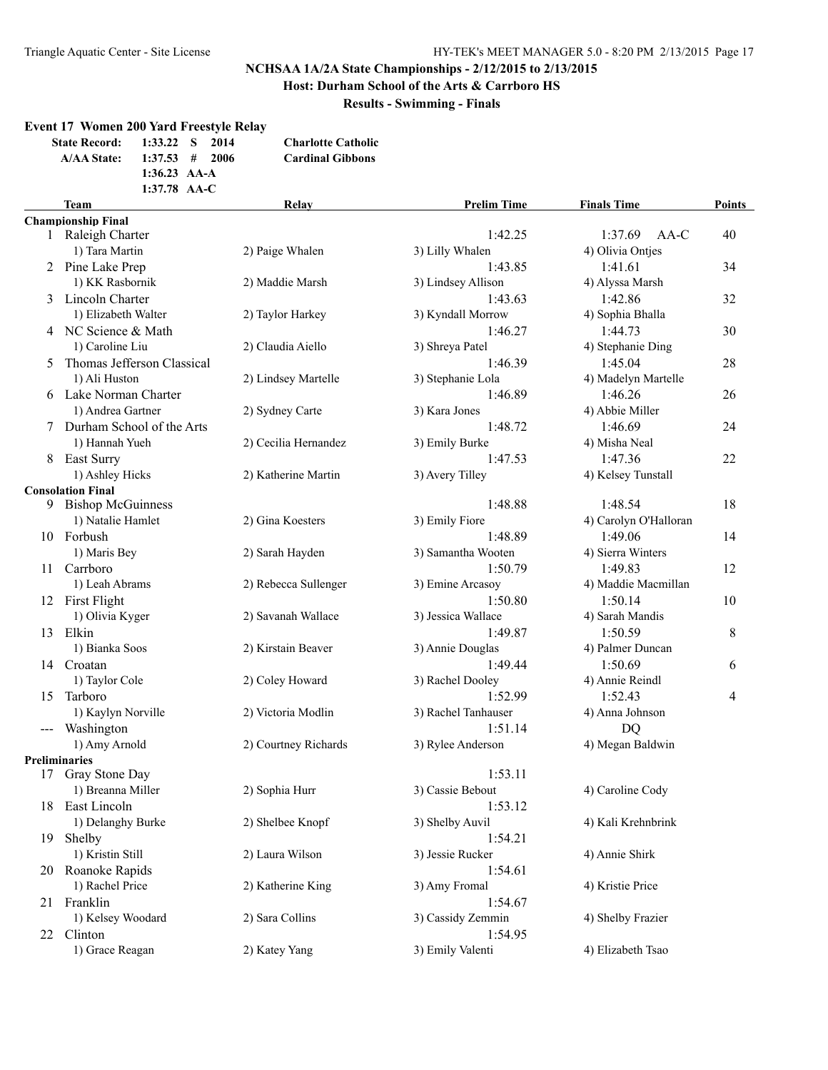**Host: Durham School of the Arts & Carrboro HS**

**Results - Swimming - Finals**

# **Event 17 Women 200 Yard Freestyle Relay**

|  | State Record: 1:33.22 S 2014 | <b>Charlotte Catholic</b> |
|--|------------------------------|---------------------------|
|  | A/AA State: 1:37.53 # 2006   | <b>Cardinal Gibbons</b>   |
|  | 1:36.23 $AA-A$               |                           |
|  | $1:37.78$ AA-C               |                           |
|  |                              |                           |

|               | <b>Team</b>                | <b>Relay</b>         | <b>Prelim Time</b>  | <b>Finals Time</b>    | Points |
|---------------|----------------------------|----------------------|---------------------|-----------------------|--------|
|               | <b>Championship Final</b>  |                      |                     |                       |        |
|               | 1 Raleigh Charter          |                      | 1:42.25             | 1:37.69<br>AA-C       | 40     |
|               | 1) Tara Martin             | 2) Paige Whalen      | 3) Lilly Whalen     | 4) Olivia Ontjes      |        |
|               | 2 Pine Lake Prep           |                      | 1:43.85             | 1:41.61               | 34     |
|               | 1) KK Rasbornik            | 2) Maddie Marsh      | 3) Lindsey Allison  | 4) Alyssa Marsh       |        |
|               | 3 Lincoln Charter          |                      | 1:43.63             | 1:42.86               | 32     |
|               | 1) Elizabeth Walter        | 2) Taylor Harkey     | 3) Kyndall Morrow   | 4) Sophia Bhalla      |        |
|               | 4 NC Science & Math        |                      | 1:46.27             | 1:44.73               | 30     |
|               | 1) Caroline Liu            | 2) Claudia Aiello    | 3) Shreya Patel     | 4) Stephanie Ding     |        |
| 5             | Thomas Jefferson Classical |                      | 1:46.39             | 1:45.04               | 28     |
|               | 1) Ali Huston              | 2) Lindsey Martelle  | 3) Stephanie Lola   | 4) Madelyn Martelle   |        |
|               | 6 Lake Norman Charter      |                      |                     |                       |        |
|               |                            |                      | 1:46.89             | 1:46.26               | 26     |
|               | 1) Andrea Gartner          | 2) Sydney Carte      | 3) Kara Jones       | 4) Abbie Miller       |        |
|               | Durham School of the Arts  |                      | 1:48.72             | 1:46.69               | 24     |
|               | 1) Hannah Yueh             | 2) Cecilia Hernandez | 3) Emily Burke      | 4) Misha Neal         |        |
|               | 8 East Surry               |                      | 1:47.53             | 1:47.36               | 22     |
|               | 1) Ashley Hicks            | 2) Katherine Martin  | 3) Avery Tilley     | 4) Kelsey Tunstall    |        |
|               | <b>Consolation Final</b>   |                      |                     |                       |        |
|               | 9 Bishop McGuinness        |                      | 1:48.88             | 1:48.54               | 18     |
|               | 1) Natalie Hamlet          | 2) Gina Koesters     | 3) Emily Fiore      | 4) Carolyn O'Halloran |        |
|               | 10 Forbush                 |                      | 1:48.89             | 1:49.06               | 14     |
|               | 1) Maris Bey               | 2) Sarah Hayden      | 3) Samantha Wooten  | 4) Sierra Winters     |        |
|               | 11 Carrboro                |                      | 1:50.79             | 1:49.83               | 12     |
|               | 1) Leah Abrams             | 2) Rebecca Sullenger | 3) Emine Arcasoy    | 4) Maddie Macmillan   |        |
|               | 12 First Flight            |                      | 1:50.80             | 1:50.14               | 10     |
|               | 1) Olivia Kyger            | 2) Savanah Wallace   | 3) Jessica Wallace  | 4) Sarah Mandis       |        |
|               | 13 Elkin                   |                      | 1:49.87             | 1:50.59               | 8      |
|               | 1) Bianka Soos             | 2) Kirstain Beaver   | 3) Annie Douglas    | 4) Palmer Duncan      |        |
|               | 14 Croatan                 |                      | 1:49.44             | 1:50.69               |        |
|               |                            |                      |                     |                       | 6      |
|               | 1) Taylor Cole             | 2) Coley Howard      | 3) Rachel Dooley    | 4) Annie Reindl       |        |
| 15            | Tarboro                    |                      | 1:52.99             | 1:52.43               | 4      |
|               | 1) Kaylyn Norville         | 2) Victoria Modlin   | 3) Rachel Tanhauser | 4) Anna Johnson       |        |
|               | Washington                 |                      | 1:51.14             | <b>DQ</b>             |        |
|               | 1) Amy Arnold              | 2) Courtney Richards | 3) Rylee Anderson   | 4) Megan Baldwin      |        |
| Preliminaries |                            |                      |                     |                       |        |
|               | 17 Gray Stone Day          |                      | 1:53.11             |                       |        |
|               | 1) Breanna Miller          | 2) Sophia Hurr       | 3) Cassie Bebout    | 4) Caroline Cody      |        |
|               | 18 East Lincoln            |                      | 1:53.12             |                       |        |
|               | 1) Delanghy Burke          | 2) Shelbee Knopf     | 3) Shelby Auvil     | 4) Kali Krehnbrink    |        |
| 19            | Shelby                     |                      | 1:54.21             |                       |        |
|               | 1) Kristin Still           | 2) Laura Wilson      | 3) Jessie Rucker    | 4) Annie Shirk        |        |
| 20            | Roanoke Rapids             |                      | 1:54.61             |                       |        |
|               | 1) Rachel Price            | 2) Katherine King    | 3) Amy Fromal       | 4) Kristie Price      |        |
| 21            | Franklin                   |                      | 1:54.67             |                       |        |
|               | 1) Kelsey Woodard          | 2) Sara Collins      | 3) Cassidy Zemmin   | 4) Shelby Frazier     |        |
|               | Clinton                    |                      | 1:54.95             |                       |        |
| 22            | 1) Grace Reagan            |                      |                     |                       |        |
|               |                            | 2) Katey Yang        | 3) Emily Valenti    | 4) Elizabeth Tsao     |        |
|               |                            |                      |                     |                       |        |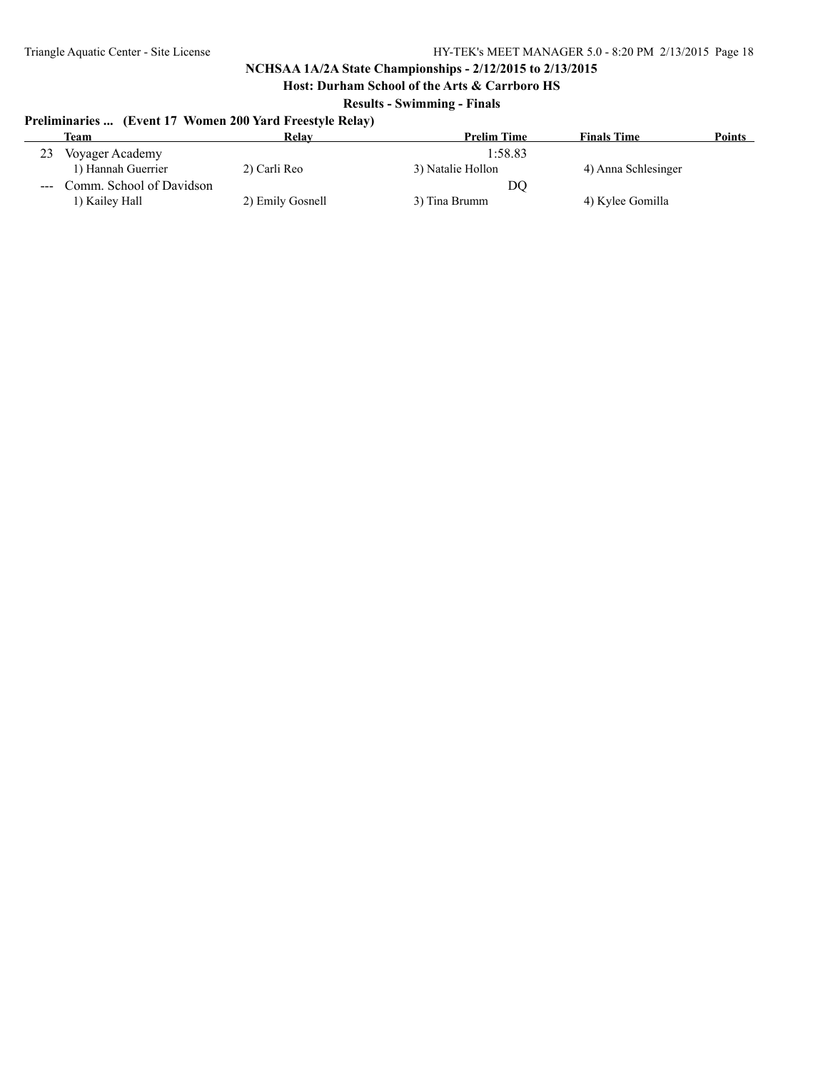**Host: Durham School of the Arts & Carrboro HS**

**Results - Swimming - Finals**

| Preliminaries  (Event 17 Women 200 Yard Freestyle Relay) |  |  |  |
|----------------------------------------------------------|--|--|--|
|                                                          |  |  |  |

|       | Team                     | Relav            | <b>Prelim Time</b> | <b>Finals Time</b>  | <b>Points</b> |
|-------|--------------------------|------------------|--------------------|---------------------|---------------|
|       | Voyager Academy          |                  | 1:58.83            |                     |               |
|       | 1) Hannah Guerrier       | 2) Carli Reo     | 3) Natalie Hollon  | 4) Anna Schlesinger |               |
| $---$ | Comm. School of Davidson |                  | DC                 |                     |               |
|       | 1) Kailey Hall           | 2) Emily Gosnell | 3) Tina Brumm      | 4) Kylee Gomilla    |               |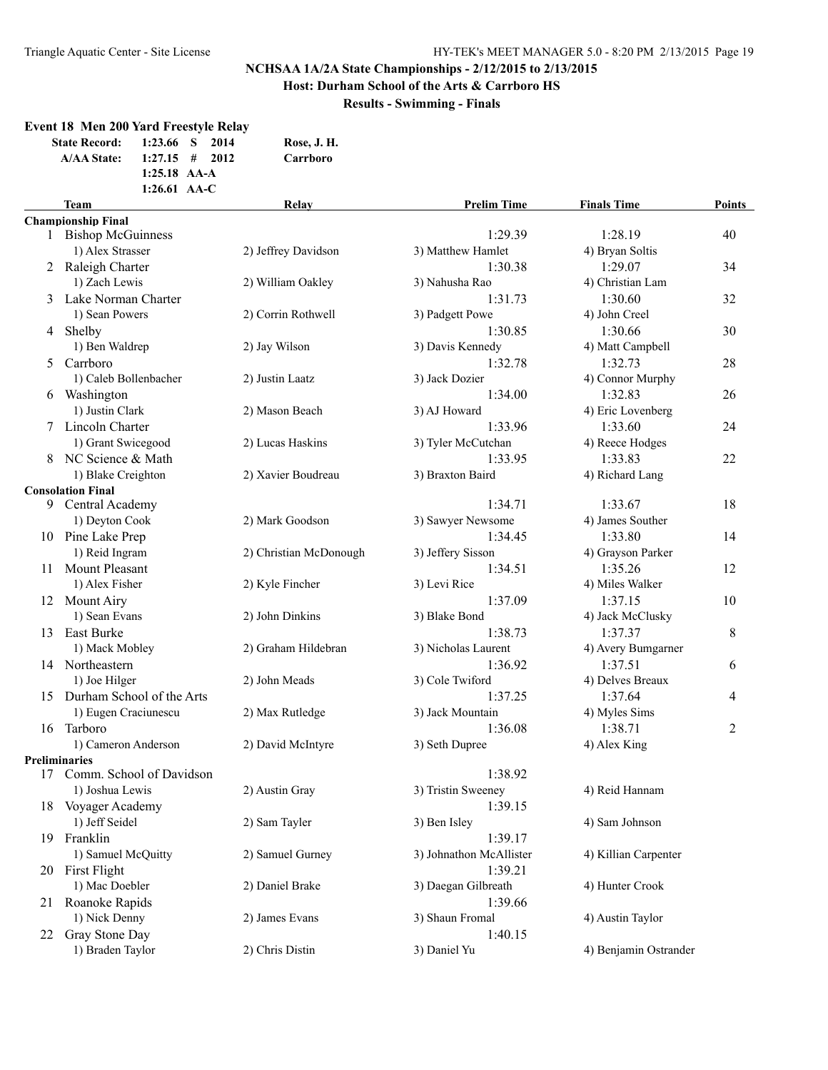**Host: Durham School of the Arts & Carrboro HS**

**Results - Swimming - Finals**

# **Event 18 Men 200 Yard Freestyle Relay**

| State Record: 1:23.66 S 2014 |                |                  | Rose, J. H. |
|------------------------------|----------------|------------------|-------------|
| <b>A/AA State:</b>           |                | $1:27.15$ # 2012 | Carrboro    |
|                              | $1:25.18$ AA-A |                  |             |
|                              | $1:26.61$ AA-C |                  |             |

|    | Team                      | Relay                  | <b>Prelim Time</b>      | <b>Finals Time</b>    | <b>Points</b>  |
|----|---------------------------|------------------------|-------------------------|-----------------------|----------------|
|    | <b>Championship Final</b> |                        |                         |                       |                |
|    | 1 Bishop McGuinness       |                        | 1:29.39                 | 1:28.19               | 40             |
|    | 1) Alex Strasser          | 2) Jeffrey Davidson    | 3) Matthew Hamlet       | 4) Bryan Soltis       |                |
|    | 2 Raleigh Charter         |                        | 1:30.38                 | 1:29.07               | 34             |
|    | 1) Zach Lewis             | 2) William Oakley      | 3) Nahusha Rao          | 4) Christian Lam      |                |
| 3  | Lake Norman Charter       |                        | 1:31.73                 | 1:30.60               | 32             |
|    | 1) Sean Powers            | 2) Corrin Rothwell     | 3) Padgett Powe         | 4) John Creel         |                |
|    | 4 Shelby                  |                        | 1:30.85                 | 1:30.66               | 30             |
|    | 1) Ben Waldrep            | 2) Jay Wilson          | 3) Davis Kennedy        | 4) Matt Campbell      |                |
| 5. | Carrboro                  |                        | 1:32.78                 | 1:32.73               | 28             |
|    | 1) Caleb Bollenbacher     | 2) Justin Laatz        | 3) Jack Dozier          | 4) Connor Murphy      |                |
| 6  | Washington                |                        | 1:34.00                 | 1:32.83               | 26             |
|    | 1) Justin Clark           | 2) Mason Beach         | 3) AJ Howard            | 4) Eric Lovenberg     |                |
|    | 7 Lincoln Charter         |                        | 1:33.96                 | 1:33.60               | 24             |
|    | 1) Grant Swicegood        | 2) Lucas Haskins       | 3) Tyler McCutchan      | 4) Reece Hodges       |                |
|    | 8 NC Science & Math       |                        | 1:33.95                 | 1:33.83               | 22             |
|    | 1) Blake Creighton        | 2) Xavier Boudreau     | 3) Braxton Baird        | 4) Richard Lang       |                |
|    | <b>Consolation Final</b>  |                        |                         |                       |                |
| 9  | Central Academy           |                        | 1:34.71                 | 1:33.67               | 18             |
|    | 1) Deyton Cook            | 2) Mark Goodson        | 3) Sawyer Newsome       | 4) James Souther      |                |
|    | 10 Pine Lake Prep         |                        | 1:34.45                 | 1:33.80               | 14             |
|    | 1) Reid Ingram            | 2) Christian McDonough | 3) Jeffery Sisson       | 4) Grayson Parker     |                |
| 11 | <b>Mount Pleasant</b>     |                        | 1:34.51                 | 1:35.26               | 12             |
|    | 1) Alex Fisher            | 2) Kyle Fincher        | 3) Levi Rice            | 4) Miles Walker       |                |
|    | 12 Mount Airy             |                        | 1:37.09                 | 1:37.15               | 10             |
|    | 1) Sean Evans             | 2) John Dinkins        | 3) Blake Bond           | 4) Jack McClusky      |                |
| 13 | East Burke                |                        | 1:38.73                 | 1:37.37               | 8              |
|    | 1) Mack Mobley            | 2) Graham Hildebran    | 3) Nicholas Laurent     | 4) Avery Bumgarner    |                |
|    | 14 Northeastern           |                        | 1:36.92                 | 1:37.51               | 6              |
|    | 1) Joe Hilger             | 2) John Meads          | 3) Cole Twiford         | 4) Delves Breaux      |                |
| 15 | Durham School of the Arts |                        | 1:37.25                 | 1:37.64               | $\overline{4}$ |
|    | 1) Eugen Craciunescu      | 2) Max Rutledge        | 3) Jack Mountain        | 4) Myles Sims         |                |
| 16 | Tarboro                   |                        | 1:36.08                 | 1:38.71               | $\overline{2}$ |
|    | 1) Cameron Anderson       | 2) David McIntyre      | 3) Seth Dupree          | 4) Alex King          |                |
|    | <b>Preliminaries</b>      |                        |                         |                       |                |
| 17 | Comm. School of Davidson  |                        | 1:38.92                 |                       |                |
|    | 1) Joshua Lewis           | 2) Austin Gray         | 3) Tristin Sweeney      | 4) Reid Hannam        |                |
| 18 | Voyager Academy           |                        | 1:39.15                 |                       |                |
|    | 1) Jeff Seidel            | 2) Sam Tayler          | 3) Ben Isley            | 4) Sam Johnson        |                |
|    | 19 Franklin               |                        | 1:39.17                 |                       |                |
|    | 1) Samuel McQuitty        | 2) Samuel Gurney       | 3) Johnathon McAllister | 4) Killian Carpenter  |                |
|    | 20 First Flight           |                        | 1:39.21                 |                       |                |
|    | 1) Mac Doebler            | 2) Daniel Brake        | 3) Daegan Gilbreath     | 4) Hunter Crook       |                |
|    | 21 Roanoke Rapids         |                        | 1:39.66                 |                       |                |
|    | 1) Nick Denny             | 2) James Evans         | 3) Shaun Fromal         | 4) Austin Taylor      |                |
| 22 | Gray Stone Day            |                        | 1:40.15                 |                       |                |
|    | 1) Braden Taylor          | 2) Chris Distin        | 3) Daniel Yu            | 4) Benjamin Ostrander |                |
|    |                           |                        |                         |                       |                |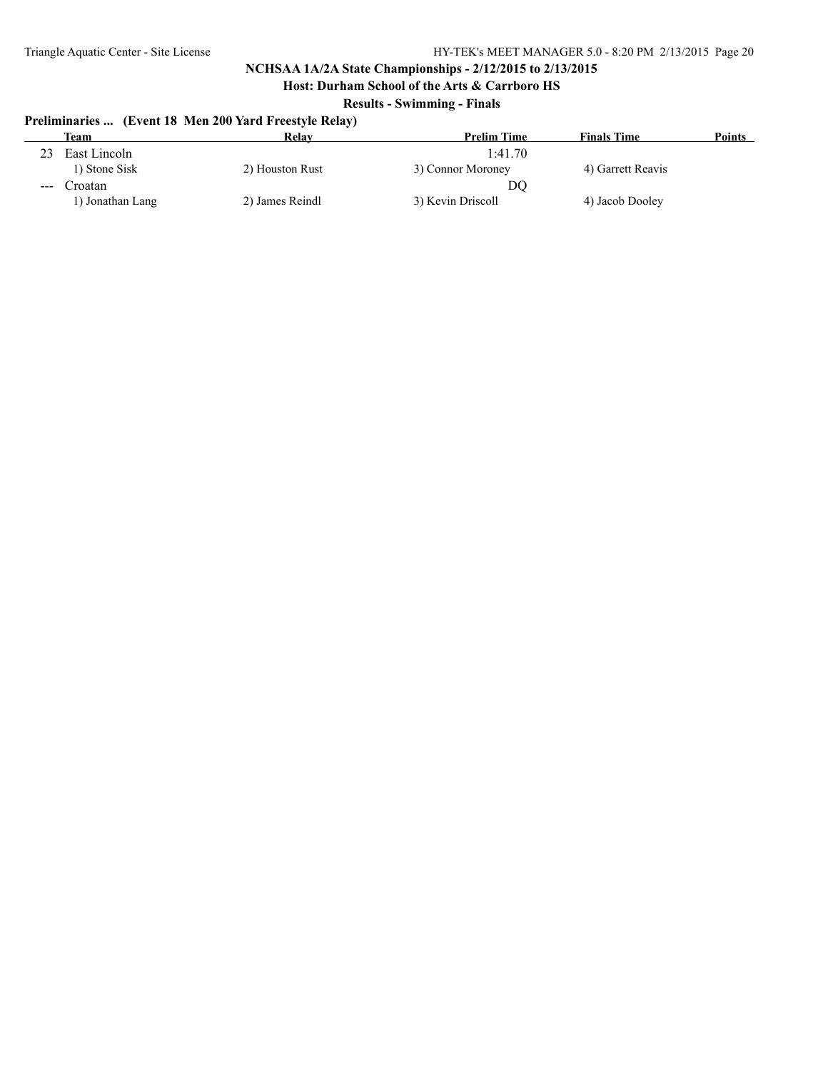**Host: Durham School of the Arts & Carrboro HS**

**Results - Swimming - Finals**

| Preliminaries  (Event 18 Men 200 Yard Freestyle Relay) |  |  |  |
|--------------------------------------------------------|--|--|--|
|                                                        |  |  |  |

|                        | Team             | Relay           | <b>Prelim Time</b> | <b>Finals Time</b> | Points |
|------------------------|------------------|-----------------|--------------------|--------------------|--------|
| 23                     | East Lincoln     |                 | 1:41.70            |                    |        |
|                        | 1) Stone Sisk    | 2) Houston Rust | 3) Connor Moroney  | 4) Garrett Reavis  |        |
| $\qquad \qquad \cdots$ | `roatan          |                 | DO                 |                    |        |
|                        | 1) Jonathan Lang | 2) James Reindl | 3) Kevin Driscoll  | 4) Jacob Dooley    |        |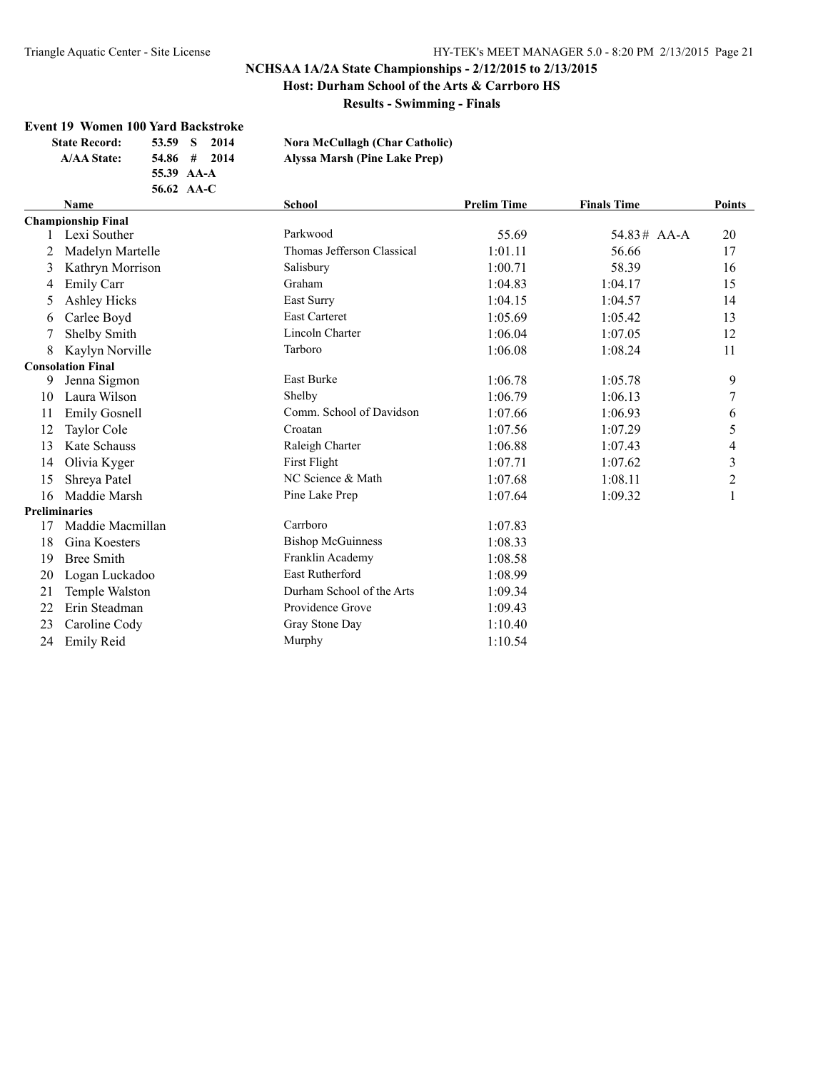**Results - Swimming - Finals**

#### **Event 19 Women 100 Yard Backstroke**

| <b>State Record:</b> | 53.59 S<br>2014 | Nora McCullagh (Char Catholic) |
|----------------------|-----------------|--------------------------------|
| <b>A/AA State:</b>   | $54.86$ # 2014  | Alyssa Marsh (Pine Lake Prep)  |
|                      | 55.39 AA-A      |                                |
|                      | 56.62 AA-C      |                                |

|                      | <b>Name</b>               | <b>School</b>              | <b>Prelim Time</b> | <b>Finals Time</b> | Points |
|----------------------|---------------------------|----------------------------|--------------------|--------------------|--------|
|                      | <b>Championship Final</b> |                            |                    |                    |        |
|                      | Lexi Souther              | Parkwood                   | 55.69              | $54.83#$ AA-A      | 20     |
| 2                    | Madelyn Martelle          | Thomas Jefferson Classical | 1:01.11            | 56.66              | 17     |
| 3                    | Kathryn Morrison          | Salisbury                  | 1:00.71            | 58.39              | 16     |
| 4                    | <b>Emily Carr</b>         | Graham                     | 1:04.83            | 1:04.17            | 15     |
| 5                    | <b>Ashley Hicks</b>       | East Surry                 | 1:04.15            | 1:04.57            | 14     |
| 6                    | Carlee Boyd               | <b>East Carteret</b>       | 1:05.69            | 1:05.42            | 13     |
|                      | Shelby Smith              | Lincoln Charter            | 1:06.04            | 1:07.05            | 12     |
| 8                    | Kaylyn Norville           | Tarboro                    | 1:06.08            | 1:08.24            | 11     |
|                      | <b>Consolation Final</b>  |                            |                    |                    |        |
| 9                    | Jenna Sigmon              | East Burke                 | 1:06.78            | 1:05.78            | 9      |
| 10                   | Laura Wilson              | Shelby                     | 1:06.79            | 1:06.13            | 7      |
| 11                   | <b>Emily Gosnell</b>      | Comm. School of Davidson   | 1:07.66            | 1:06.93            | 6      |
| 12                   | Taylor Cole               | Croatan                    | 1:07.56            | 1:07.29            | 5      |
| 13                   | Kate Schauss              | Raleigh Charter            | 1:06.88            | 1:07.43            | 4      |
| 14                   | Olivia Kyger              | <b>First Flight</b>        | 1:07.71            | 1:07.62            | 3      |
| 15                   | Shreya Patel              | NC Science & Math          | 1:07.68            | 1:08.11            | 2      |
| 16                   | Maddie Marsh              | Pine Lake Prep             | 1:07.64            | 1:09.32            | 1      |
| <b>Preliminaries</b> |                           |                            |                    |                    |        |
| 17                   | Maddie Macmillan          | Carrboro                   | 1:07.83            |                    |        |
| 18                   | Gina Koesters             | <b>Bishop McGuinness</b>   | 1:08.33            |                    |        |
| 19                   | <b>Bree Smith</b>         | Franklin Academy           | 1:08.58            |                    |        |
| 20                   | Logan Luckadoo            | <b>East Rutherford</b>     | 1:08.99            |                    |        |
| 21                   | Temple Walston            | Durham School of the Arts  | 1:09.34            |                    |        |
| 22                   | Erin Steadman             | Providence Grove           | 1:09.43            |                    |        |
| 23                   | Caroline Cody             | Gray Stone Day             | 1:10.40            |                    |        |
| 24                   | Emily Reid                | Murphy                     | 1:10.54            |                    |        |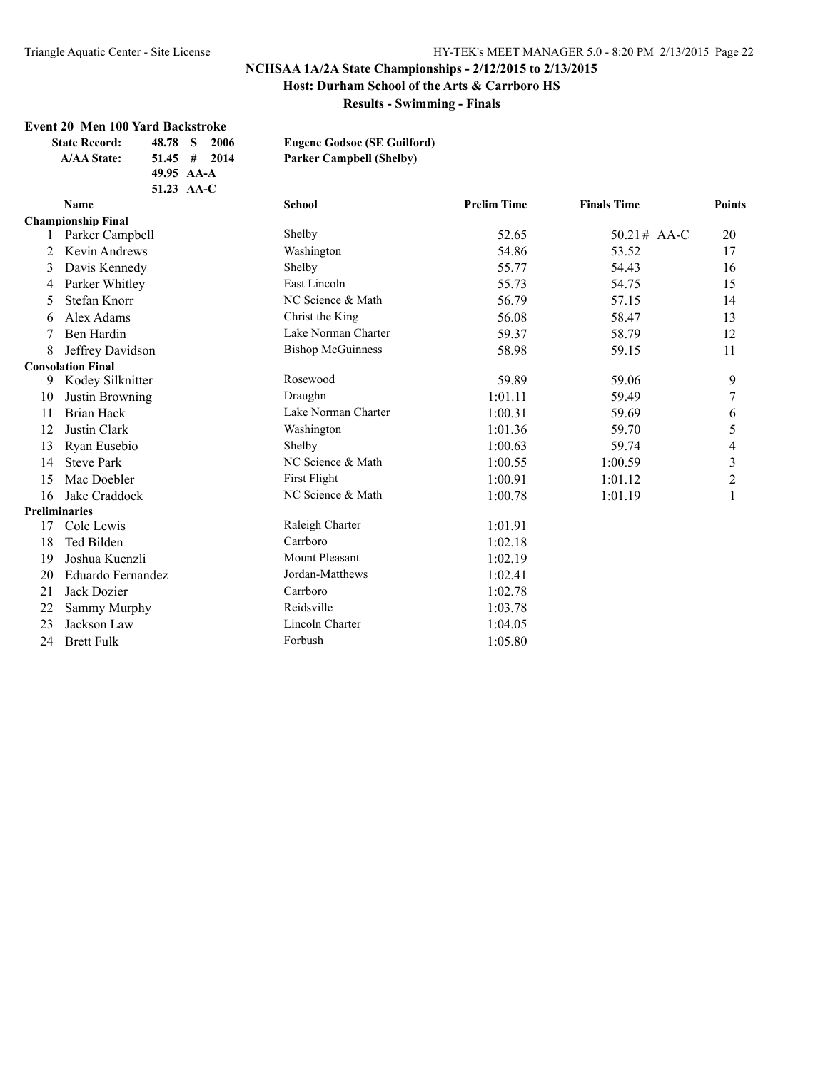**Results - Swimming - Finals**

# **Event 20 Men 100 Yard Backstroke**

| <b>State Record:</b> | 48.78 S    | -2006          | <b>Eugene Godsoe (SE Guilford)</b> |
|----------------------|------------|----------------|------------------------------------|
| <b>A/AA State:</b>   |            | $51.45$ # 2014 | <b>Parker Campbell (Shelby)</b>    |
|                      | 49.95 AA-A |                |                                    |
|                      | 51.23 AA-C |                |                                    |

|    | <b>Name</b>               | <b>School</b>            | <b>Prelim Time</b> | <b>Finals Time</b> | <b>Points</b> |
|----|---------------------------|--------------------------|--------------------|--------------------|---------------|
|    | <b>Championship Final</b> |                          |                    |                    |               |
|    | Parker Campbell           | Shelby                   | 52.65              | $50.21#$ AA-C      | 20            |
| 2  | Kevin Andrews             | Washington               | 54.86              | 53.52              | 17            |
| 3  | Davis Kennedy             | Shelby                   | 55.77              | 54.43              | 16            |
| 4  | Parker Whitley            | East Lincoln             | 55.73              | 54.75              | 15            |
| 5  | Stefan Knorr              | NC Science & Math        | 56.79              | 57.15              | 14            |
| 6  | Alex Adams                | Christ the King          | 56.08              | 58.47              | 13            |
|    | Ben Hardin                | Lake Norman Charter      | 59.37              | 58.79              | 12            |
| 8  | Jeffrey Davidson          | <b>Bishop McGuinness</b> | 58.98              | 59.15              | 11            |
|    | <b>Consolation Final</b>  |                          |                    |                    |               |
| 9  | Kodey Silknitter          | Rosewood                 | 59.89              | 59.06              | 9             |
| 10 | Justin Browning           | Draughn                  | 1:01.11            | 59.49              | 7             |
| 11 | Brian Hack                | Lake Norman Charter      | 1:00.31            | 59.69              | 6             |
| 12 | Justin Clark              | Washington               | 1:01.36            | 59.70              | 5             |
| 13 | Ryan Eusebio              | Shelby                   | 1:00.63            | 59.74              | 4             |
| 14 | <b>Steve Park</b>         | NC Science & Math        | 1:00.55            | 1:00.59            | 3             |
| 15 | Mac Doebler               | First Flight             | 1:00.91            | 1:01.12            | 2             |
| 16 | Jake Craddock             | NC Science & Math        | 1:00.78            | 1:01.19            |               |
|    | <b>Preliminaries</b>      |                          |                    |                    |               |
| 17 | Cole Lewis                | Raleigh Charter          | 1:01.91            |                    |               |
| 18 | Ted Bilden                | Carrboro                 | 1:02.18            |                    |               |
| 19 | Joshua Kuenzli            | <b>Mount Pleasant</b>    | 1:02.19            |                    |               |
| 20 | Eduardo Fernandez         | Jordan-Matthews          | 1:02.41            |                    |               |
| 21 | Jack Dozier               | Carrboro                 | 1:02.78            |                    |               |
| 22 | Sammy Murphy              | Reidsville               | 1:03.78            |                    |               |
| 23 | Jackson Law               | Lincoln Charter          | 1:04.05            |                    |               |
| 24 | <b>Brett Fulk</b>         | Forbush                  | 1:05.80            |                    |               |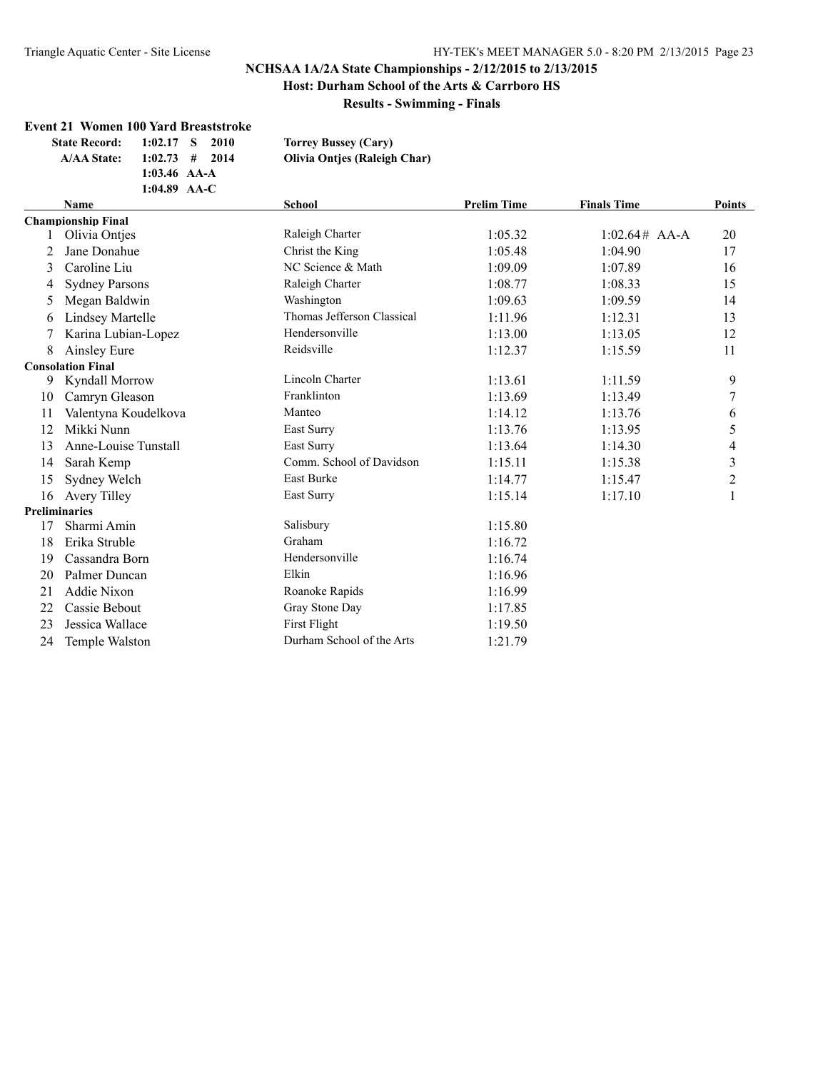**Results - Swimming - Finals**

# **Event 21 Women 100 Yard Breaststroke**

| <b>State Record:</b> |                | $1:02.17$ S 2010 | <b>Torrey Bussey (Cary)</b>         |
|----------------------|----------------|------------------|-------------------------------------|
| <b>A/AA State:</b>   |                | $1:02.73$ # 2014 | <b>Olivia Ontjes (Raleigh Char)</b> |
|                      | 1:03.46 $AA-A$ |                  |                                     |
|                      | 1:04.89 $AA-C$ |                  |                                     |

|    | <b>Name</b>               | <b>School</b>              | <b>Prelim Time</b> | <b>Finals Time</b> | <b>Points</b>  |
|----|---------------------------|----------------------------|--------------------|--------------------|----------------|
|    | <b>Championship Final</b> |                            |                    |                    |                |
|    | Olivia Ontjes             | Raleigh Charter            | 1:05.32            | $1:02.64#$ AA-A    | 20             |
| 2  | Jane Donahue              | Christ the King            | 1:05.48            | 1:04.90            | 17             |
| 3  | Caroline Liu              | NC Science & Math          | 1:09.09            | 1:07.89            | 16             |
| 4  | <b>Sydney Parsons</b>     | Raleigh Charter            | 1:08.77            | 1:08.33            | 15             |
|    | Megan Baldwin             | Washington                 | 1:09.63            | 1:09.59            | 14             |
| 6  | <b>Lindsey Martelle</b>   | Thomas Jefferson Classical | 1:11.96            | 1:12.31            | 13             |
|    | Karina Lubian-Lopez       | Hendersonville             | 1:13.00            | 1:13.05            | 12             |
| 8  | Ainsley Eure              | Reidsville                 | 1:12.37            | 1:15.59            | 11             |
|    | <b>Consolation Final</b>  |                            |                    |                    |                |
| 9. | Kyndall Morrow            | Lincoln Charter            | 1:13.61            | 1:11.59            | 9              |
| 10 | Camryn Gleason            | Franklinton                | 1:13.69            | 1:13.49            | 7              |
| 11 | Valentyna Koudelkova      | Manteo                     | 1:14.12            | 1:13.76            | 6              |
| 12 | Mikki Nunn                | East Surry                 | 1:13.76            | 1:13.95            | 5              |
| 13 | Anne-Louise Tunstall      | East Surry                 | 1:13.64            | 1:14.30            | 4              |
| 14 | Sarah Kemp                | Comm. School of Davidson   | 1:15.11            | 1:15.38            | $\mathfrak{Z}$ |
| 15 | Sydney Welch              | East Burke                 | 1:14.77            | 1:15.47            | $\overline{c}$ |
| 16 | <b>Avery Tilley</b>       | East Surry                 | 1:15.14            | 1:17.10            |                |
|    | <b>Preliminaries</b>      |                            |                    |                    |                |
| 17 | Sharmi Amin               | Salisbury                  | 1:15.80            |                    |                |
| 18 | Erika Struble             | Graham                     | 1:16.72            |                    |                |
| 19 | Cassandra Born            | Hendersonville             | 1:16.74            |                    |                |
| 20 | Palmer Duncan             | Elkin                      | 1:16.96            |                    |                |
| 21 | Addie Nixon               | Roanoke Rapids             | 1:16.99            |                    |                |
| 22 | Cassie Bebout             | Gray Stone Day             | 1:17.85            |                    |                |
| 23 | Jessica Wallace           | First Flight               | 1:19.50            |                    |                |
| 24 | Temple Walston            | Durham School of the Arts  | 1:21.79            |                    |                |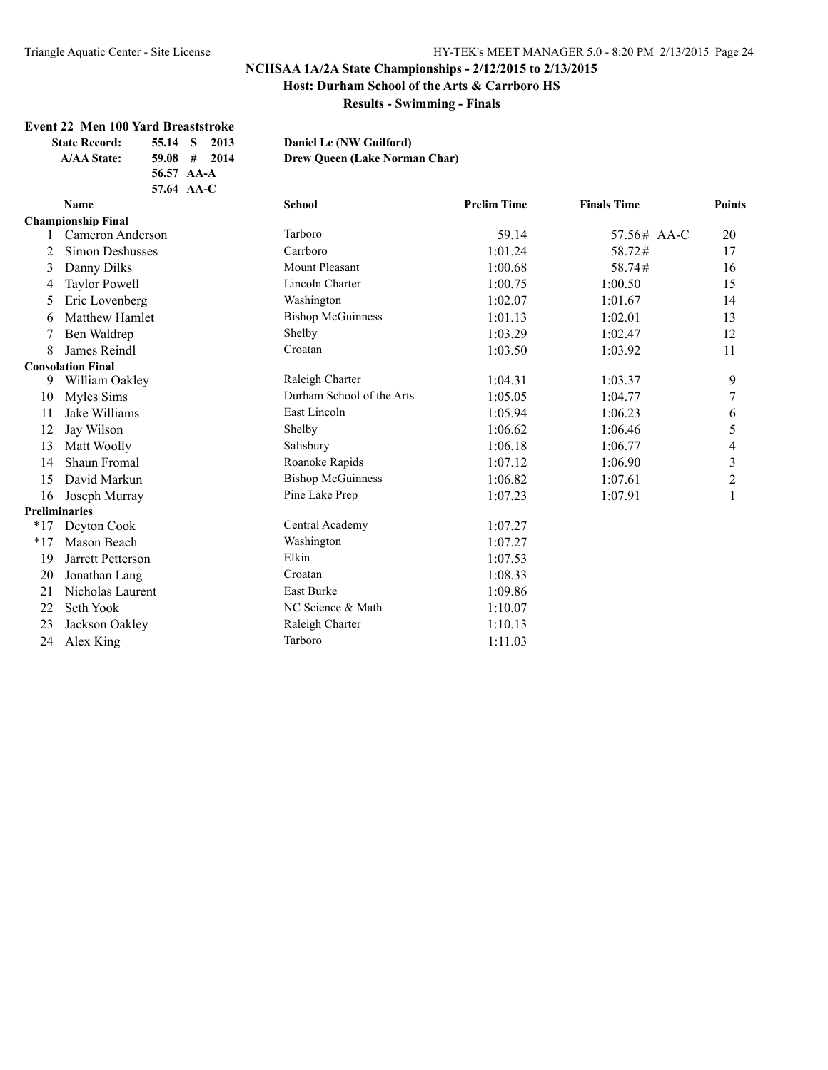**Results - Swimming - Finals**

#### **Event 22 Men 100 Yard Breaststroke**

| <b>State Record:</b> | 55.14 S 2013   | Daniel Le (NW Guilford)              |
|----------------------|----------------|--------------------------------------|
| <b>A/AA State:</b>   | $59.08$ # 2014 | <b>Drew Queen (Lake Norman Char)</b> |
|                      | 56.57 AA-A     |                                      |
|                      | 57.64 AA-C     |                                      |

|       | <b>Name</b>               | <b>School</b>             | <b>Prelim Time</b> | <b>Finals Time</b> | <b>Points</b>           |
|-------|---------------------------|---------------------------|--------------------|--------------------|-------------------------|
|       | <b>Championship Final</b> |                           |                    |                    |                         |
|       | Cameron Anderson          | Tarboro                   | 59.14              | 57.56# AA-C        | 20                      |
| 2     | <b>Simon Deshusses</b>    | Carrboro                  | 1:01.24            | 58.72#             | 17                      |
| 3     | Danny Dilks               | <b>Mount Pleasant</b>     | 1:00.68            | 58.74#             | 16                      |
| 4     | <b>Taylor Powell</b>      | Lincoln Charter           | 1:00.75            | 1:00.50            | 15                      |
| 5.    | Eric Lovenberg            | Washington                | 1:02.07            | 1:01.67            | 14                      |
| 6     | Matthew Hamlet            | <b>Bishop McGuinness</b>  | 1:01.13            | 1:02.01            | 13                      |
|       | Ben Waldrep               | Shelby                    | 1:03.29            | 1:02.47            | 12                      |
| 8     | James Reindl              | Croatan                   | 1:03.50            | 1:03.92            | 11                      |
|       | <b>Consolation Final</b>  |                           |                    |                    |                         |
| 9     | William Oakley            | Raleigh Charter           | 1:04.31            | 1:03.37            | 9                       |
| 10    | Myles Sims                | Durham School of the Arts | 1:05.05            | 1:04.77            | 7                       |
| 11    | Jake Williams             | East Lincoln              | 1:05.94            | 1:06.23            | 6                       |
| 12    | Jay Wilson                | Shelby                    | 1:06.62            | 1:06.46            | 5                       |
| 13    | Matt Woolly               | Salisbury                 | 1:06.18            | 1:06.77            | 4                       |
| 14    | Shaun Fromal              | Roanoke Rapids            | 1:07.12            | 1:06.90            | $\overline{\mathbf{3}}$ |
| 15    | David Markun              | <b>Bishop McGuinness</b>  | 1:06.82            | 1:07.61            | $\overline{c}$          |
| 16    | Joseph Murray             | Pine Lake Prep            | 1:07.23            | 1:07.91            | 1                       |
|       | <b>Preliminaries</b>      |                           |                    |                    |                         |
| $*17$ | Deyton Cook               | Central Academy           | 1:07.27            |                    |                         |
| $*17$ | Mason Beach               | Washington                | 1:07.27            |                    |                         |
| 19    | Jarrett Petterson         | Elkin                     | 1:07.53            |                    |                         |
| 20    | Jonathan Lang             | Croatan                   | 1:08.33            |                    |                         |
| 21    | Nicholas Laurent          | East Burke                | 1:09.86            |                    |                         |
| 22    | Seth Yook                 | NC Science & Math         | 1:10.07            |                    |                         |
| 23    | Jackson Oakley            | Raleigh Charter           | 1:10.13            |                    |                         |
| 24    | Alex King                 | Tarboro                   | 1:11.03            |                    |                         |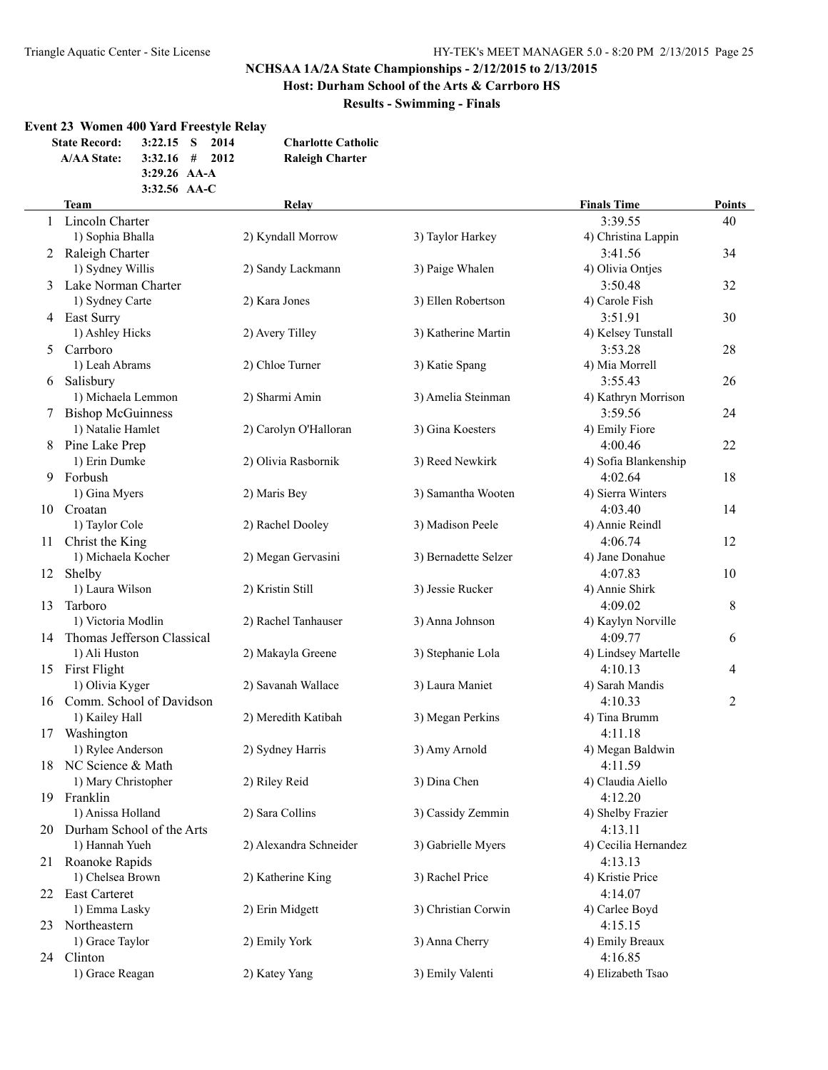**Host: Durham School of the Arts & Carrboro HS**

**Results - Swimming - Finals**

# **Event 23 Women 400 Yard Freestyle Relay**

| <b>State Record:</b> | $3:22.15$ S      | 2014 | <b>Charlotte Catholic</b> |
|----------------------|------------------|------|---------------------------|
| <b>A/AA State:</b>   | $3:32.16$ # 2012 |      | <b>Raleigh Charter</b>    |
|                      | 3:29.26 $AA-A$   |      |                           |
|                      | $3:32.56$ AA-C   |      |                           |

|    | <b>Team</b>                   | <b>Relay</b>           |                      | <b>Finals Time</b>   | <b>Points</b> |
|----|-------------------------------|------------------------|----------------------|----------------------|---------------|
|    | 1 Lincoln Charter             |                        |                      | 3:39.55              | 40            |
|    | 1) Sophia Bhalla              | 2) Kyndall Morrow      | 3) Taylor Harkey     | 4) Christina Lappin  |               |
|    | 2 Raleigh Charter             |                        |                      | 3:41.56              | 34            |
|    | 1) Sydney Willis              | 2) Sandy Lackmann      | 3) Paige Whalen      | 4) Olivia Ontjes     |               |
|    | 3 Lake Norman Charter         |                        |                      | 3:50.48              | 32            |
|    | 1) Sydney Carte               | 2) Kara Jones          | 3) Ellen Robertson   | 4) Carole Fish       |               |
|    | 4 East Surry                  |                        |                      | 3:51.91              | 30            |
|    | 1) Ashley Hicks               | 2) Avery Tilley        | 3) Katherine Martin  | 4) Kelsey Tunstall   |               |
| 5. | Carrboro                      |                        |                      | 3:53.28              | 28            |
|    | 1) Leah Abrams                | 2) Chloe Turner        | 3) Katie Spang       | 4) Mia Morrell       |               |
|    | 6 Salisbury                   |                        |                      | 3:55.43              | 26            |
|    | 1) Michaela Lemmon            | 2) Sharmi Amin         | 3) Amelia Steinman   | 4) Kathryn Morrison  |               |
|    | 7 Bishop McGuinness           |                        |                      | 3:59.56              | 24            |
|    | 1) Natalie Hamlet             | 2) Carolyn O'Halloran  | 3) Gina Koesters     | 4) Emily Fiore       |               |
|    | 8 Pine Lake Prep              |                        |                      | 4:00.46              | 22            |
|    | 1) Erin Dumke                 | 2) Olivia Rasbornik    | 3) Reed Newkirk      | 4) Sofia Blankenship |               |
|    | 9 Forbush                     |                        |                      | 4:02.64              | 18            |
|    | 1) Gina Myers                 | 2) Maris Bey           | 3) Samantha Wooten   | 4) Sierra Winters    |               |
| 10 | Croatan                       |                        |                      | 4:03.40              | 14            |
|    | 1) Taylor Cole                | 2) Rachel Dooley       | 3) Madison Peele     | 4) Annie Reindl      |               |
| 11 | Christ the King               |                        |                      | 4:06.74              | 12            |
|    | 1) Michaela Kocher            | 2) Megan Gervasini     | 3) Bernadette Selzer | 4) Jane Donahue      |               |
|    | 12 Shelby                     |                        |                      | 4:07.83              | 10            |
|    | 1) Laura Wilson               | 2) Kristin Still       | 3) Jessie Rucker     | 4) Annie Shirk       |               |
| 13 | Tarboro                       |                        |                      | 4:09.02              | 8             |
|    | 1) Victoria Modlin            | 2) Rachel Tanhauser    | 3) Anna Johnson      | 4) Kaylyn Norville   |               |
|    | 14 Thomas Jefferson Classical |                        |                      | 4:09.77              | 6             |
|    | 1) Ali Huston                 | 2) Makayla Greene      | 3) Stephanie Lola    | 4) Lindsey Martelle  |               |
|    | 15 First Flight               |                        |                      | 4:10.13              | 4             |
|    | 1) Olivia Kyger               | 2) Savanah Wallace     | 3) Laura Maniet      | 4) Sarah Mandis      |               |
|    | 16 Comm. School of Davidson   |                        |                      | 4:10.33              | 2             |
|    | 1) Kailey Hall                | 2) Meredith Katibah    | 3) Megan Perkins     | 4) Tina Brumm        |               |
|    | 17 Washington                 |                        |                      | 4:11.18              |               |
|    | 1) Rylee Anderson             | 2) Sydney Harris       | 3) Amy Arnold        | 4) Megan Baldwin     |               |
|    | 18 NC Science & Math          |                        |                      | 4:11.59              |               |
|    | 1) Mary Christopher           | 2) Riley Reid          | 3) Dina Chen         | 4) Claudia Aiello    |               |
|    | 19 Franklin                   |                        |                      | 4:12.20              |               |
|    | 1) Anissa Holland             | 2) Sara Collins        | 3) Cassidy Zemmin    | 4) Shelby Frazier    |               |
| 20 | Durham School of the Arts     |                        |                      | 4:13.11              |               |
|    | 1) Hannah Yueh                | 2) Alexandra Schneider | 3) Gabrielle Myers   | 4) Cecilia Hernandez |               |
|    | 21 Roanoke Rapids             |                        |                      | 4:13.13              |               |
|    | 1) Chelsea Brown              | 2) Katherine King      | 3) Rachel Price      | 4) Kristie Price     |               |
|    | 22 East Carteret              |                        |                      | 4:14.07              |               |
|    | 1) Emma Lasky                 | 2) Erin Midgett        | 3) Christian Corwin  | 4) Carlee Boyd       |               |
|    | 23 Northeastern               |                        |                      | 4:15.15              |               |
|    | 1) Grace Taylor               | 2) Emily York          | 3) Anna Cherry       | 4) Emily Breaux      |               |
|    | 24 Clinton                    |                        |                      | 4:16.85              |               |
|    | 1) Grace Reagan               | 2) Katey Yang          | 3) Emily Valenti     | 4) Elizabeth Tsao    |               |
|    |                               |                        |                      |                      |               |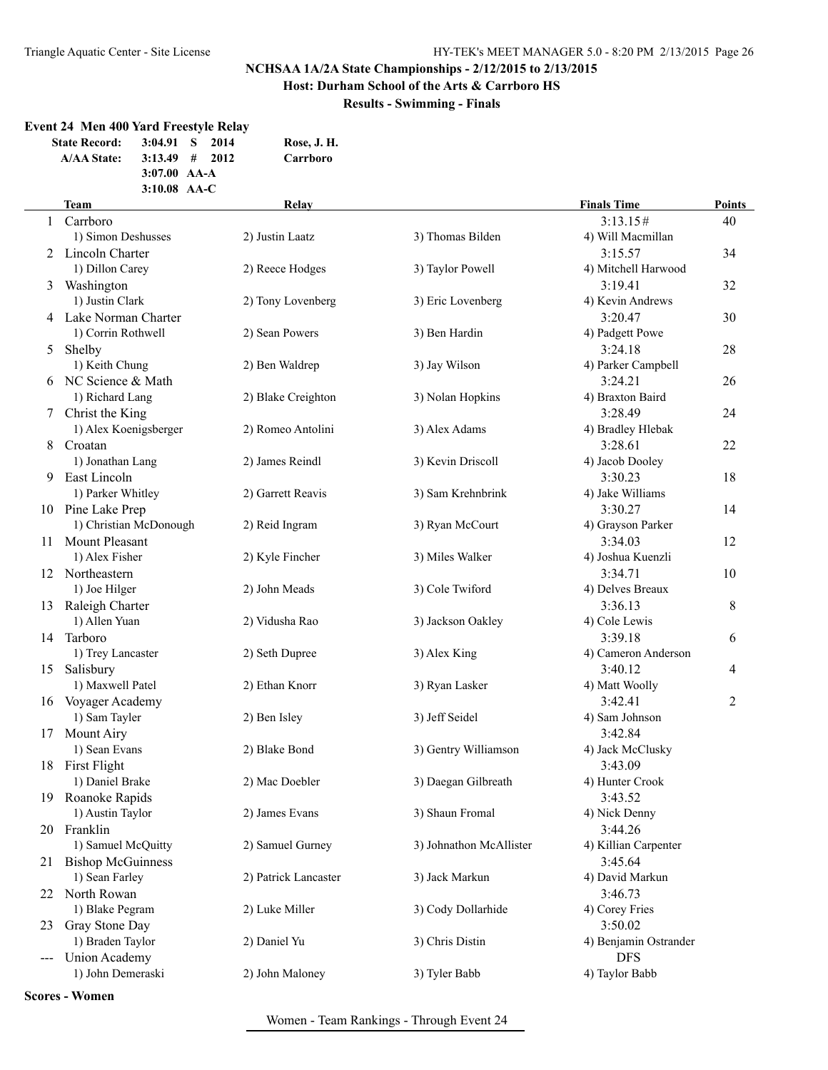**Host: Durham School of the Arts & Carrboro HS**

**Results - Swimming - Finals**

# **Event 24 Men 400 Yard Freestyle Relay**

| <b>State Record:</b> | $3:04.91$ S 2014 |  | Rose, J. H. |
|----------------------|------------------|--|-------------|
| <b>A/AA State:</b>   | $3:13.49$ # 2012 |  | Carrboro    |
|                      | $3:07.00$ AA-A   |  |             |
|                      | $3:10.08$ AA-C   |  |             |
| Team                 |                  |  | Relay       |
|                      |                  |  |             |

|              | <b>Team</b>              | Relay                |                         | <b>Finals Time</b>    | <b>Points</b>  |
|--------------|--------------------------|----------------------|-------------------------|-----------------------|----------------|
| $\mathbf{1}$ | Carrboro                 |                      |                         | 3:13.15#              | 40             |
|              | 1) Simon Deshusses       | 2) Justin Laatz      | 3) Thomas Bilden        | 4) Will Macmillan     |                |
|              | Lincoln Charter          |                      |                         | 3:15.57               | 34             |
|              | 1) Dillon Carey          | 2) Reece Hodges      | 3) Taylor Powell        | 4) Mitchell Harwood   |                |
| 3            | Washington               |                      |                         | 3:19.41               | 32             |
|              | 1) Justin Clark          | 2) Tony Lovenberg    | 3) Eric Lovenberg       | 4) Kevin Andrews      |                |
|              | 4 Lake Norman Charter    |                      |                         | 3:20.47               | 30             |
|              | 1) Corrin Rothwell       | 2) Sean Powers       | 3) Ben Hardin           | 4) Padgett Powe       |                |
| 5.           | Shelby                   |                      |                         | 3:24.18               | 28             |
|              | 1) Keith Chung           | 2) Ben Waldrep       | 3) Jay Wilson           | 4) Parker Campbell    |                |
|              | 6 NC Science & Math      |                      |                         | 3:24.21               | 26             |
|              | 1) Richard Lang          | 2) Blake Creighton   | 3) Nolan Hopkins        | 4) Braxton Baird      |                |
|              | 7 Christ the King        |                      |                         | 3:28.49               | 24             |
|              | 1) Alex Koenigsberger    | 2) Romeo Antolini    | 3) Alex Adams           | 4) Bradley Hlebak     |                |
|              | 8 Croatan                |                      |                         | 3:28.61               | 22             |
|              | 1) Jonathan Lang         | 2) James Reindl      | 3) Kevin Driscoll       | 4) Jacob Dooley       |                |
|              | 9 East Lincoln           |                      |                         | 3:30.23               | 18             |
|              | 1) Parker Whitley        | 2) Garrett Reavis    | 3) Sam Krehnbrink       | 4) Jake Williams      |                |
|              |                          |                      |                         | 3:30.27               |                |
|              | 10 Pine Lake Prep        |                      |                         |                       | 14             |
|              | 1) Christian McDonough   | 2) Reid Ingram       | 3) Ryan McCourt         | 4) Grayson Parker     |                |
|              | 11 Mount Pleasant        |                      |                         | 3:34.03               | 12             |
|              | 1) Alex Fisher           | 2) Kyle Fincher      | 3) Miles Walker         | 4) Joshua Kuenzli     |                |
|              | 12 Northeastern          |                      |                         | 3:34.71               | 10             |
|              | 1) Joe Hilger            | 2) John Meads        | 3) Cole Twiford         | 4) Delves Breaux      |                |
|              | 13 Raleigh Charter       |                      |                         | 3:36.13               | 8              |
|              | 1) Allen Yuan            | 2) Vidusha Rao       | 3) Jackson Oakley       | 4) Cole Lewis         |                |
|              | 14 Tarboro               |                      |                         | 3:39.18               | 6              |
|              | 1) Trey Lancaster        | 2) Seth Dupree       | 3) Alex King            | 4) Cameron Anderson   |                |
|              | 15 Salisbury             |                      |                         | 3:40.12               | 4              |
|              | 1) Maxwell Patel         | 2) Ethan Knorr       | 3) Ryan Lasker          | 4) Matt Woolly        |                |
|              | 16 Voyager Academy       |                      |                         | 3:42.41               | $\overline{c}$ |
|              | 1) Sam Tayler            | 2) Ben Isley         | 3) Jeff Seidel          | 4) Sam Johnson        |                |
|              | 17 Mount Airy            |                      |                         | 3:42.84               |                |
|              | 1) Sean Evans            | 2) Blake Bond        | 3) Gentry Williamson    | 4) Jack McClusky      |                |
|              | 18 First Flight          |                      |                         | 3:43.09               |                |
|              | 1) Daniel Brake          | 2) Mac Doebler       | 3) Daegan Gilbreath     | 4) Hunter Crook       |                |
|              | 19 Roanoke Rapids        |                      |                         | 3:43.52               |                |
|              | 1) Austin Taylor         | 2) James Evans       | 3) Shaun Fromal         | 4) Nick Denny         |                |
|              | 20 Franklin              |                      |                         | 3:44.26               |                |
|              | 1) Samuel McQuitty       | 2) Samuel Gurney     | 3) Johnathon McAllister | 4) Killian Carpenter  |                |
| 21           | <b>Bishop McGuinness</b> |                      |                         | 3:45.64               |                |
|              | 1) Sean Farley           | 2) Patrick Lancaster | 3) Jack Markun          | 4) David Markun       |                |
| 22           | North Rowan              |                      |                         | 3:46.73               |                |
|              | 1) Blake Pegram          | 2) Luke Miller       | 3) Cody Dollarhide      | 4) Corey Fries        |                |
| 23           | Gray Stone Day           |                      |                         | 3:50.02               |                |
|              | 1) Braden Taylor         | 2) Daniel Yu         | 3) Chris Distin         | 4) Benjamin Ostrander |                |
|              | <b>Union Academy</b>     |                      |                         | <b>DFS</b>            |                |
|              | 1) John Demeraski        | 2) John Maloney      | 3) Tyler Babb           | 4) Taylor Babb        |                |
|              |                          |                      |                         |                       |                |

**Scores - Women**

Women - Team Rankings - Through Event 24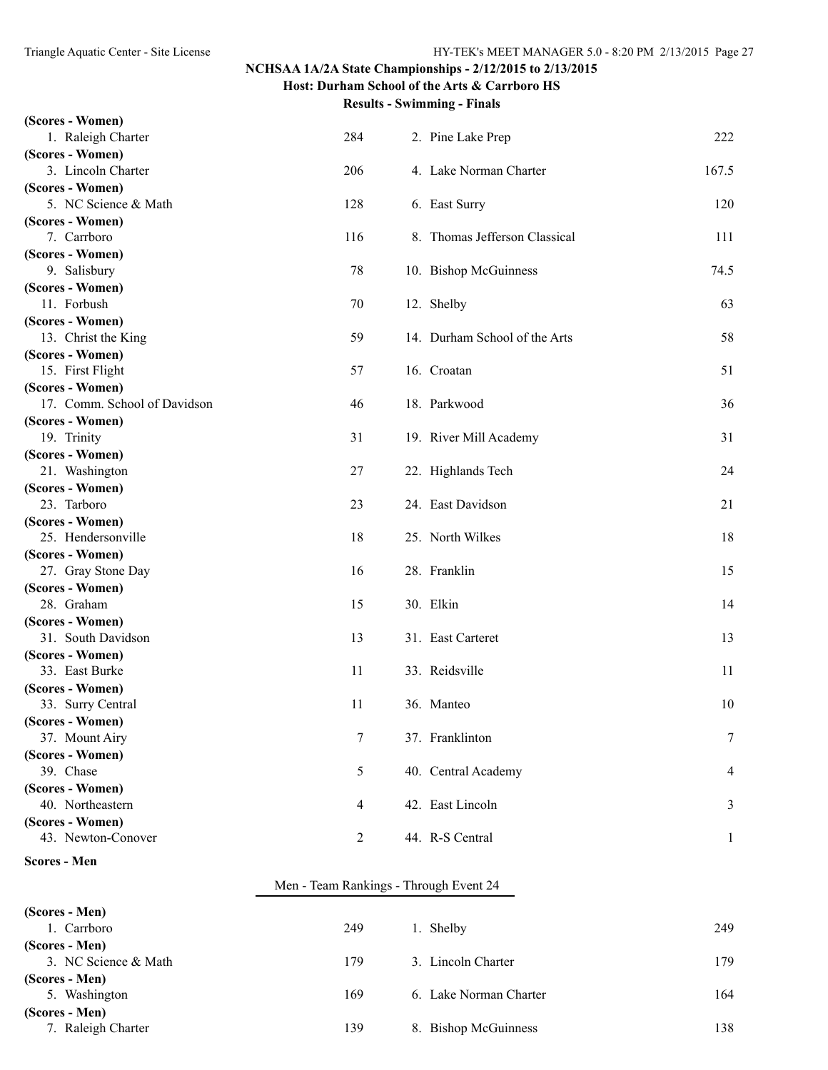**Results - Swimming - Finals**

| (Scores - Women)             |                |                               |              |
|------------------------------|----------------|-------------------------------|--------------|
| 1. Raleigh Charter           | 284            | 2. Pine Lake Prep             | 222          |
| (Scores - Women)             |                |                               |              |
| 3. Lincoln Charter           | 206            | 4. Lake Norman Charter        | 167.5        |
| (Scores - Women)             |                |                               |              |
| 5. NC Science & Math         | 128            | 6. East Surry                 | 120          |
| (Scores - Women)             |                |                               |              |
| 7. Carrboro                  | 116            | 8. Thomas Jefferson Classical | 111          |
| (Scores - Women)             |                |                               |              |
| 9. Salisbury                 | 78             | 10. Bishop McGuinness         | 74.5         |
| (Scores - Women)             |                |                               |              |
| 11. Forbush                  | 70             | 12. Shelby                    | 63           |
| (Scores - Women)             |                |                               |              |
| 13. Christ the King          | 59             | 14. Durham School of the Arts | 58           |
| (Scores - Women)             |                |                               |              |
| 15. First Flight             | 57             | 16. Croatan                   | 51           |
| (Scores - Women)             |                |                               |              |
| 17. Comm. School of Davidson | 46             | 18. Parkwood                  | 36           |
| (Scores - Women)             |                |                               |              |
| 19. Trinity                  | 31             | 19. River Mill Academy        | 31           |
| (Scores - Women)             |                |                               |              |
| 21. Washington               | 27             | 22. Highlands Tech            | 24           |
| (Scores - Women)             |                |                               |              |
| 23. Tarboro                  | 23             | 24. East Davidson             | 21           |
| (Scores - Women)             |                |                               |              |
| 25. Hendersonville           | 18             | 25. North Wilkes              | 18           |
| (Scores - Women)             |                |                               |              |
| 27. Gray Stone Day           | 16             | 28. Franklin                  | 15           |
| (Scores - Women)             |                |                               |              |
| 28. Graham                   | 15             | 30. Elkin                     | 14           |
| (Scores - Women)             |                |                               |              |
| 31. South Davidson           | 13             | 31. East Carteret             | 13           |
| (Scores - Women)             |                |                               |              |
| 33. East Burke               | 11             | 33. Reidsville                | 11           |
| (Scores - Women)             |                |                               |              |
| 33. Surry Central            | 11             | 36. Manteo                    | 10           |
| (Scores - Women)             |                |                               |              |
| 37. Mount Airy               | $\tau$         | 37. Franklinton               | 7            |
| (Scores - Women)             |                |                               |              |
| 39. Chase                    | 5              | 40. Central Academy           | 4            |
| (Scores - Women)             |                |                               |              |
| 40. Northeastern             | $\overline{4}$ | 42. East Lincoln              | 3            |
| (Scores - Women)             |                |                               |              |
| 43. Newton-Conover           | $\overline{2}$ | 44. R-S Central               | $\mathbf{1}$ |
|                              |                |                               |              |

**Scores - Men**

# Men - Team Rankings - Through Event 24

| (Scores - Men)       |     |                                |     |
|----------------------|-----|--------------------------------|-----|
| 1. Carrboro          | 249 | Shelby                         | 249 |
| (Scores - Men)       |     |                                |     |
| 3. NC Science & Math | 179 | 3. Lincoln Charter             | 179 |
| (Scores - Men)       |     |                                |     |
| 5. Washington        | 169 | 6. Lake Norman Charter         | 164 |
| (Scores - Men)       |     |                                |     |
| Raleigh Charter      | 139 | <b>Bishop McGuinness</b><br>8. | 138 |